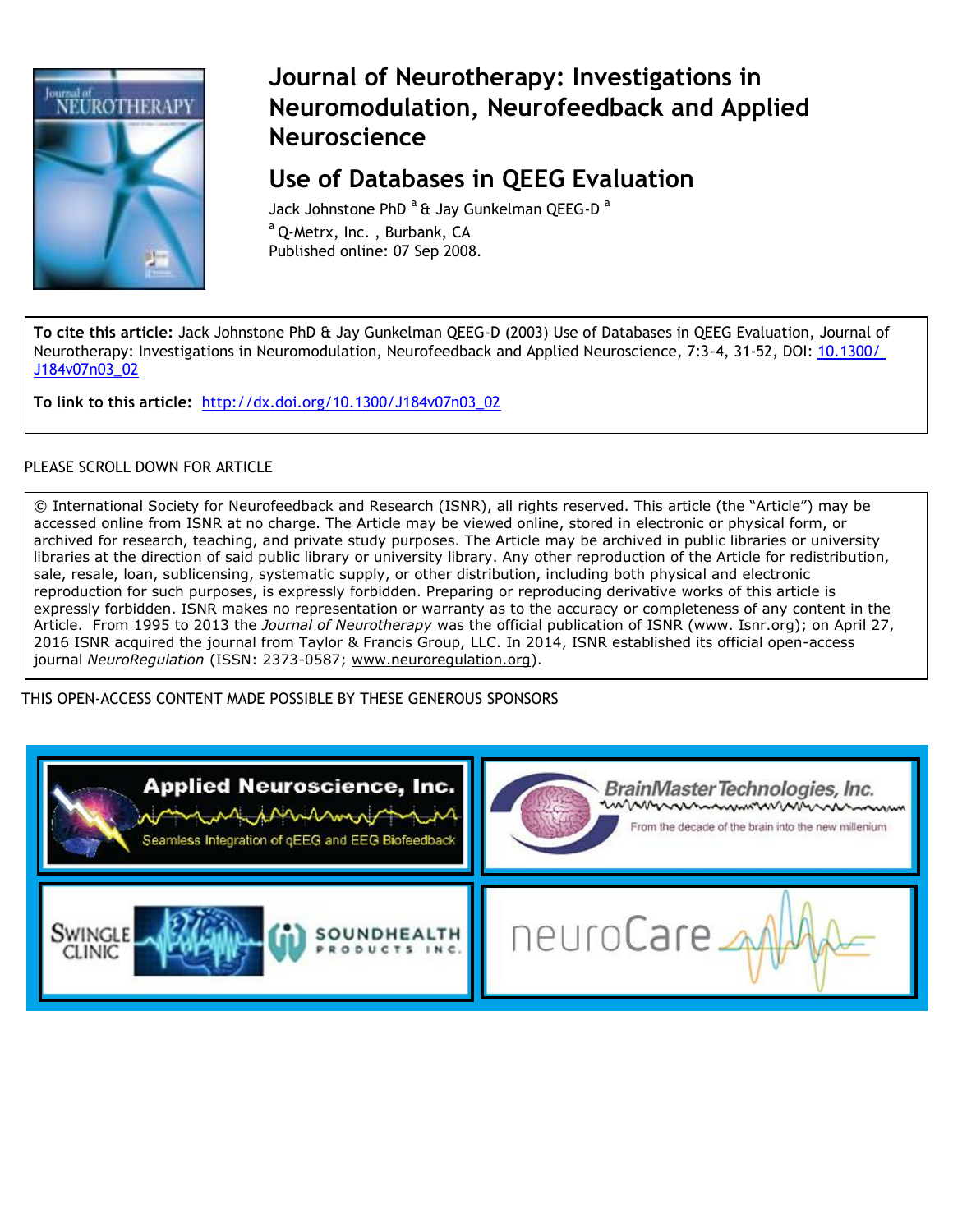

# **Journal of Neurotherapy: Investigations in Neuromodulation, Neurofeedback and Applied Neuroscience**

# **Use of Databases in QEEG Evaluation**

Jack Johnstone PhD<sup>a</sup> & Jay Gunkelman QEEG-D<sup>a</sup> <sup>a</sup> Q-Metrx, Inc., Burbank, CA Published online: 07 Sep 2008.

**To cite this article:** Jack Johnstone PhD & Jay Gunkelman QEEG-D (2003) Use of Databases in QEEG Evaluation, Journal of Neurotherapy: Investigations in Neuromodulation, Neurofeedback and Applied Neuroscience, 7:3-4, 31-52, DOI: 10.1300/ J184v07n03\_02

**To link to this article:** [http://dx.doi.org/10.1300/J184v07n03\\_02](http://dx.doi.org/10.1300/J184v07n03_02)

# PLEASE SCROLL DOWN FOR ARTICLE

© International Society for Neurofeedback and Research (ISNR), all rights reserved. This article (the "Article") may be accessed online from ISNR at no charge. The Article may be viewed online, stored in electronic or physical form, or archived for research, teaching, and private study purposes. The Article may be archived in public libraries or university libraries at the direction of said public library or university library. Any other reproduction of the Article for redistribution, sale, resale, loan, sublicensing, systematic supply, or other distribution, including both physical and electronic reproduction for such purposes, is expressly forbidden. Preparing or reproducing derivative works of this article is expressly forbidden. ISNR makes no representation or warranty as to the accuracy or completeness of any content in the Article. From 1995 to 2013 the *Journal of Neurotherapy* was the official publication of ISNR (www. Isnr.org); on April 27, 2016 ISNR acquired the journal from Taylor & Francis Group, LLC. In 2014, ISNR established its official open-access journal *NeuroRegulation* (ISSN: 2373-0587; [www.neuroregulation.org\)](http://www.neuroregulation.org/).

THIS OPEN-ACCESS CONTENT MADE POSSIBLE BY THESE GENEROUS SPONSORS

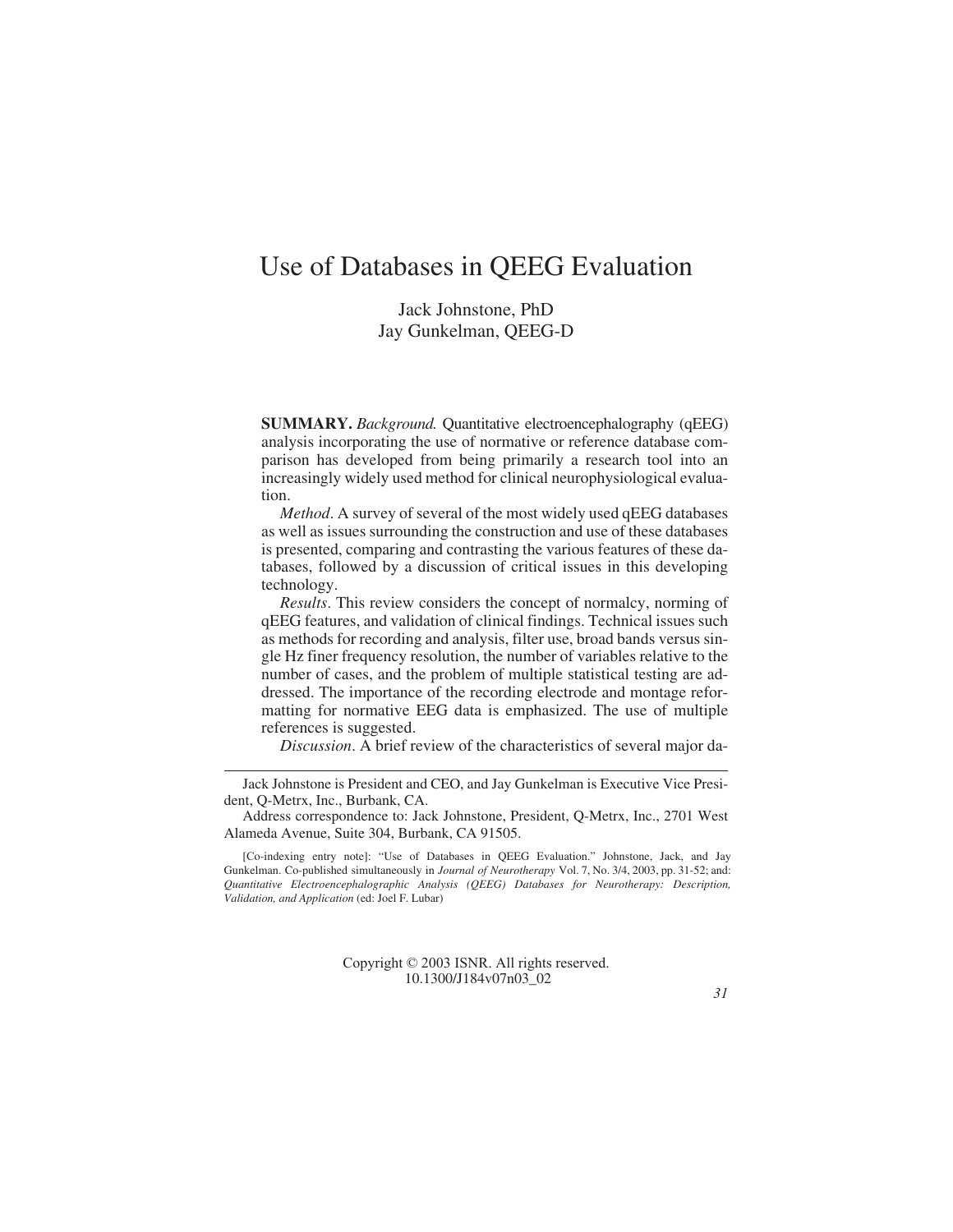# Use of Databases in QEEG Evaluation

Jack Johnstone, PhD Jay Gunkelman, QEEG-D

**SUMMARY.** *Background.* Quantitative electroencephalography (qEEG) analysis incorporating the use of normative or reference database comparison has developed from being primarily a research tool into an increasingly widely used method for clinical neurophysiological evaluation.

*Method*. A survey of several of the most widely used qEEG databases as well as issues surrounding the construction and use of these databases is presented, comparing and contrasting the various features of these databases, followed by a discussion of critical issues in this developing technology.

*Results*. This review considers the concept of normalcy, norming of qEEG features, and validation of clinical findings. Technical issues such as methods for recording and analysis, filter use, broad bands versus single Hz finer frequency resolution, the number of variables relative to the number of cases, and the problem of multiple statistical testing are addressed. The importance of the recording electrode and montage reformatting for normative EEG data is emphasized. The use of multiple references is suggested.

*Discussion*. A brief review of the characteristics of several major da-

Address correspondence to: Jack Johnstone, President, Q-Metrx, Inc., 2701 West Alameda Avenue, Suite 304, Burbank, CA 91505.

[Co-indexing entry note]: "Use of Databases in QEEG Evaluation." Johnstone, Jack, and Jay Gunkelman. Co-published simultaneously in *Journal of Neurotherapy* Vol. 7, No. 3/4, 2003, pp. 31-52; and: *Quantitative Electroencephalographic Analysis (QEEG) Databases for Neurotherapy: Description, Validation, and Application* (ed: Joel F. Lubar)

> Copyright © 2003 ISNR. All rights reserved. 10.1300/J184v07n03\_02

Jack Johnstone is President and CEO, and Jay Gunkelman is Executive Vice President, Q-Metrx, Inc., Burbank, CA.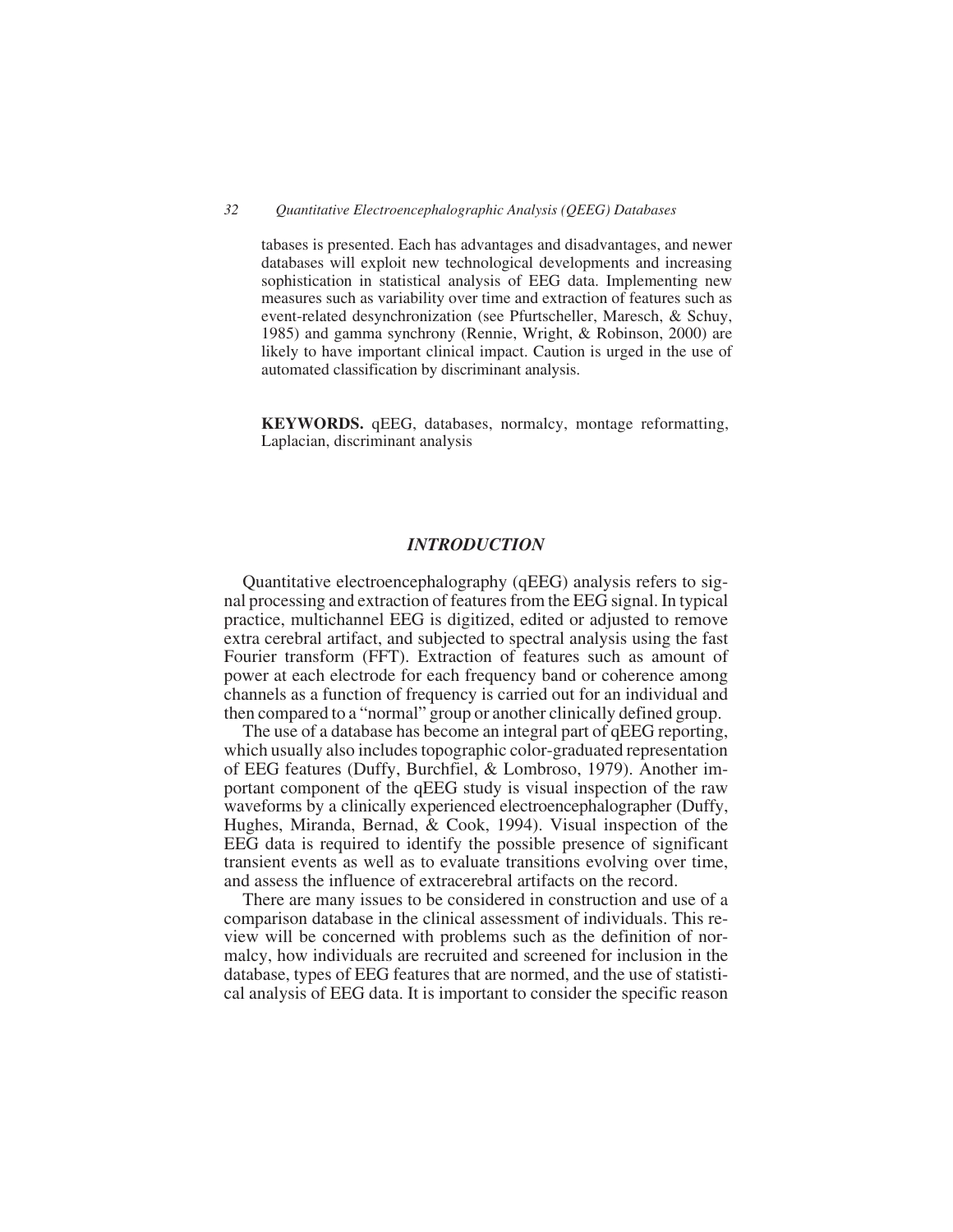tabases is presented. Each has advantages and disadvantages, and newer databases will exploit new technological developments and increasing sophistication in statistical analysis of EEG data. Implementing new measures such as variability over time and extraction of features such as event-related desynchronization (see Pfurtscheller, Maresch, & Schuy, 1985) and gamma synchrony (Rennie, Wright, & Robinson, 2000) are likely to have important clinical impact. Caution is urged in the use of automated classification by discriminant analysis.

**KEYWORDS.** qEEG, databases, normalcy, montage reformatting, Laplacian, discriminant analysis

#### *INTRODUCTION*

Quantitative electroencephalography (qEEG) analysis refers to signal processing and extraction of features from the EEG signal. In typical practice, multichannel EEG is digitized, edited or adjusted to remove extra cerebral artifact, and subjected to spectral analysis using the fast Fourier transform (FFT). Extraction of features such as amount of power at each electrode for each frequency band or coherence among channels as a function of frequency is carried out for an individual and then compared to a "normal" group or another clinically defined group.

The use of a database has become an integral part of qEEG reporting, which usually also includes topographic color-graduated representation of EEG features (Duffy, Burchfiel, & Lombroso, 1979). Another important component of the qEEG study is visual inspection of the raw waveforms by a clinically experienced electroencephalographer (Duffy, Hughes, Miranda, Bernad, & Cook, 1994). Visual inspection of the EEG data is required to identify the possible presence of significant transient events as well as to evaluate transitions evolving over time, and assess the influence of extracerebral artifacts on the record.

There are many issues to be considered in construction and use of a comparison database in the clinical assessment of individuals. This review will be concerned with problems such as the definition of normalcy, how individuals are recruited and screened for inclusion in the database, types of EEG features that are normed, and the use of statistical analysis of EEG data. It is important to consider the specific reason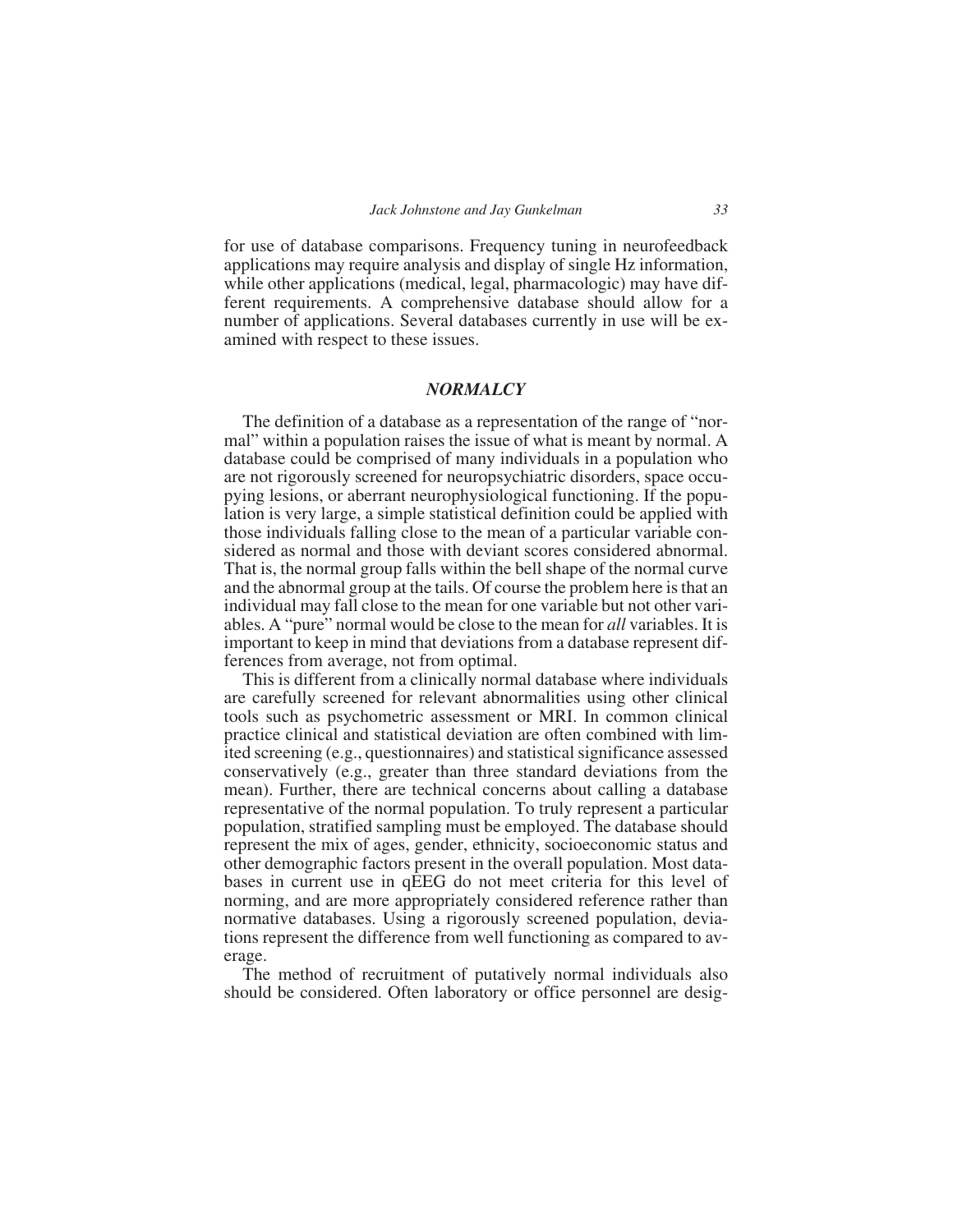for use of database comparisons. Frequency tuning in neurofeedback applications may require analysis and display of single Hz information, while other applications (medical, legal, pharmacologic) may have different requirements. A comprehensive database should allow for a number of applications. Several databases currently in use will be examined with respect to these issues.

#### *NORMALCY*

The definition of a database as a representation of the range of "normal" within a population raises the issue of what is meant by normal. A database could be comprised of many individuals in a population who are not rigorously screened for neuropsychiatric disorders, space occupying lesions, or aberrant neurophysiological functioning. If the population is very large, a simple statistical definition could be applied with those individuals falling close to the mean of a particular variable considered as normal and those with deviant scores considered abnormal. That is, the normal group falls within the bell shape of the normal curve and the abnormal group at the tails. Of course the problem here is that an individual may fall close to the mean for one variable but not other variables. A "pure" normal would be close to the mean for *all* variables. It is important to keep in mind that deviations from a database represent differences from average, not from optimal.

This is different from a clinically normal database where individuals are carefully screened for relevant abnormalities using other clinical tools such as psychometric assessment or MRI. In common clinical practice clinical and statistical deviation are often combined with limited screening (e.g., questionnaires) and statistical significance assessed conservatively (e.g., greater than three standard deviations from the mean). Further, there are technical concerns about calling a database representative of the normal population. To truly represent a particular population, stratified sampling must be employed. The database should represent the mix of ages, gender, ethnicity, socioeconomic status and other demographic factors present in the overall population. Most databases in current use in qEEG do not meet criteria for this level of norming, and are more appropriately considered reference rather than normative databases. Using a rigorously screened population, deviations represent the difference from well functioning as compared to average.

The method of recruitment of putatively normal individuals also should be considered. Often laboratory or office personnel are desig-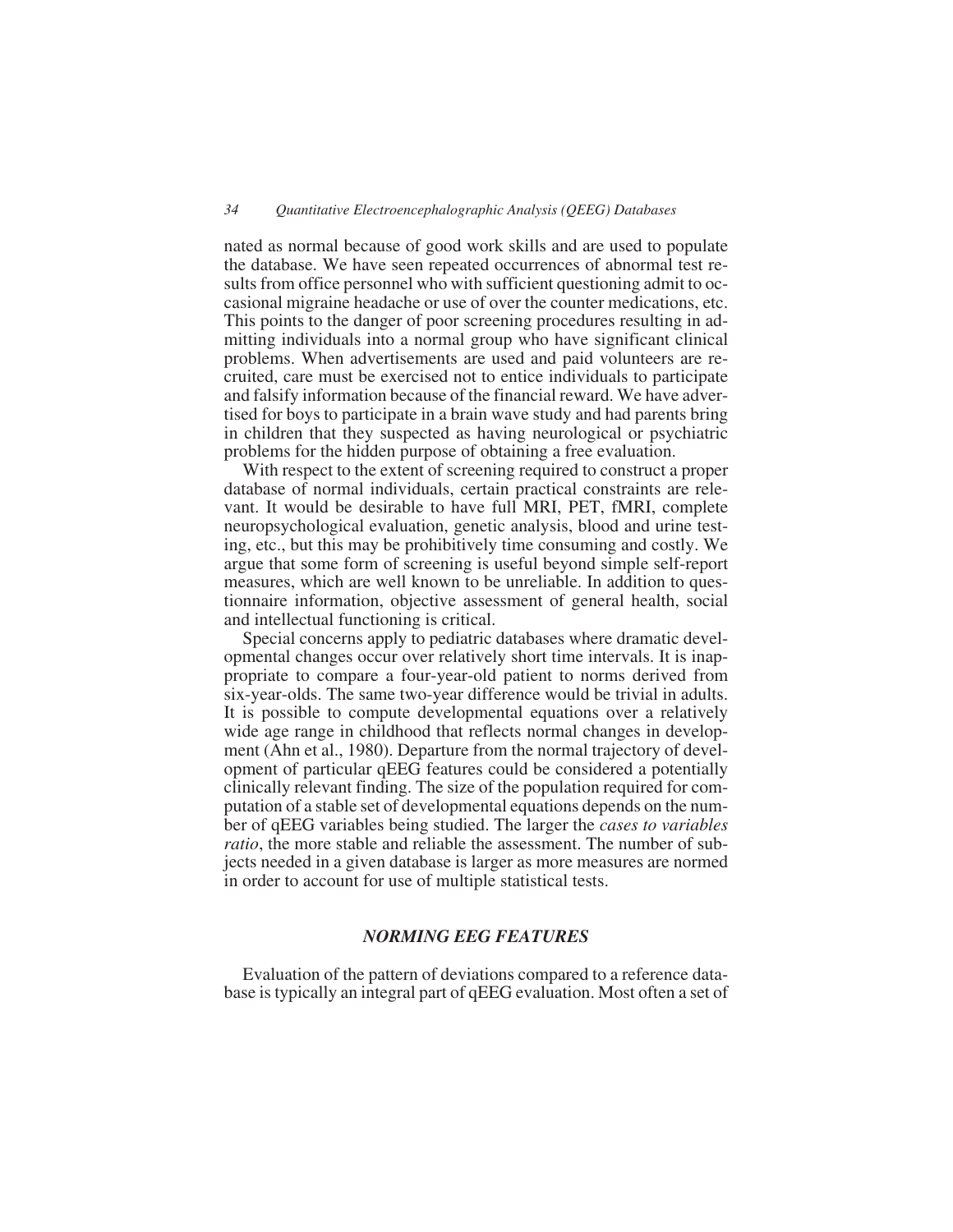nated as normal because of good work skills and are used to populate the database. We have seen repeated occurrences of abnormal test results from office personnel who with sufficient questioning admit to occasional migraine headache or use of over the counter medications, etc. This points to the danger of poor screening procedures resulting in admitting individuals into a normal group who have significant clinical problems. When advertisements are used and paid volunteers are recruited, care must be exercised not to entice individuals to participate and falsify information because of the financial reward. We have advertised for boys to participate in a brain wave study and had parents bring in children that they suspected as having neurological or psychiatric problems for the hidden purpose of obtaining a free evaluation.

With respect to the extent of screening required to construct a proper database of normal individuals, certain practical constraints are relevant. It would be desirable to have full MRI, PET, fMRI, complete neuropsychological evaluation, genetic analysis, blood and urine testing, etc., but this may be prohibitively time consuming and costly. We argue that some form of screening is useful beyond simple self-report measures, which are well known to be unreliable. In addition to questionnaire information, objective assessment of general health, social and intellectual functioning is critical.

Special concerns apply to pediatric databases where dramatic developmental changes occur over relatively short time intervals. It is inappropriate to compare a four-year-old patient to norms derived from six-year-olds. The same two-year difference would be trivial in adults. It is possible to compute developmental equations over a relatively wide age range in childhood that reflects normal changes in development (Ahn et al., 1980). Departure from the normal trajectory of development of particular qEEG features could be considered a potentially clinically relevant finding. The size of the population required for computation of a stable set of developmental equations depends on the number of qEEG variables being studied. The larger the *cases to variables ratio*, the more stable and reliable the assessment. The number of subjects needed in a given database is larger as more measures are normed in order to account for use of multiple statistical tests.

# *NORMING EEG FEATURES*

Evaluation of the pattern of deviations compared to a reference database is typically an integral part of qEEG evaluation. Most often a set of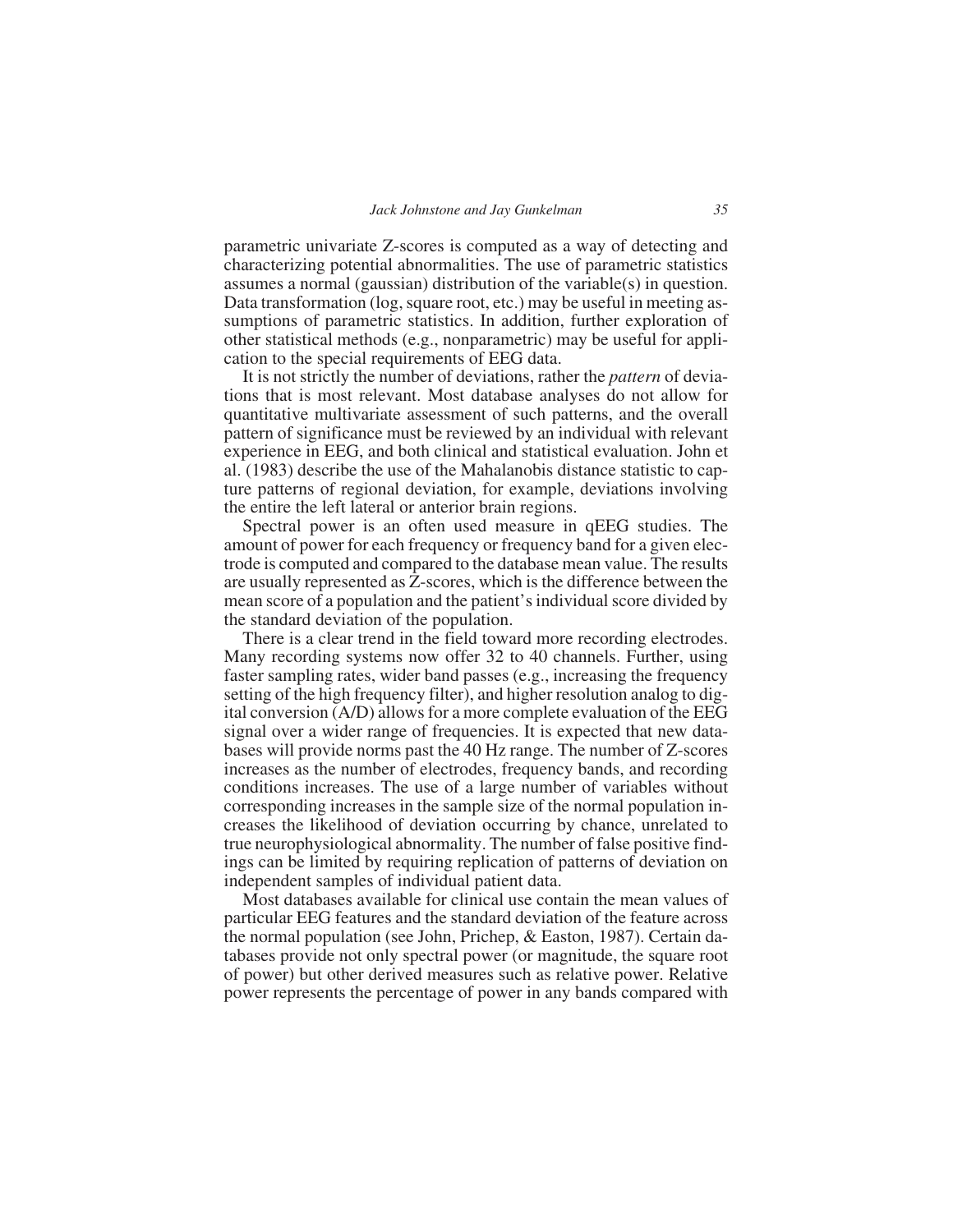parametric univariate Z-scores is computed as a way of detecting and characterizing potential abnormalities. The use of parametric statistics assumes a normal (gaussian) distribution of the variable(s) in question. Data transformation (log, square root, etc.) may be useful in meeting assumptions of parametric statistics. In addition, further exploration of other statistical methods (e.g., nonparametric) may be useful for application to the special requirements of EEG data.

It is not strictly the number of deviations, rather the *pattern* of deviations that is most relevant. Most database analyses do not allow for quantitative multivariate assessment of such patterns, and the overall pattern of significance must be reviewed by an individual with relevant experience in EEG, and both clinical and statistical evaluation. John et al. (1983) describe the use of the Mahalanobis distance statistic to capture patterns of regional deviation, for example, deviations involving the entire the left lateral or anterior brain regions.

Spectral power is an often used measure in qEEG studies. The amount of power for each frequency or frequency band for a given electrode is computed and compared to the database mean value. The results are usually represented as Z-scores, which is the difference between the mean score of a population and the patient's individual score divided by the standard deviation of the population.

There is a clear trend in the field toward more recording electrodes. Many recording systems now offer 32 to 40 channels. Further, using faster sampling rates, wider band passes (e.g., increasing the frequency setting of the high frequency filter), and higher resolution analog to digital conversion (A/D) allows for a more complete evaluation of the EEG signal over a wider range of frequencies. It is expected that new databases will provide norms past the 40 Hz range. The number of Z-scores increases as the number of electrodes, frequency bands, and recording conditions increases. The use of a large number of variables without corresponding increases in the sample size of the normal population increases the likelihood of deviation occurring by chance, unrelated to true neurophysiological abnormality. The number of false positive findings can be limited by requiring replication of patterns of deviation on independent samples of individual patient data.

Most databases available for clinical use contain the mean values of particular EEG features and the standard deviation of the feature across the normal population (see John, Prichep, & Easton, 1987). Certain databases provide not only spectral power (or magnitude, the square root of power) but other derived measures such as relative power. Relative power represents the percentage of power in any bands compared with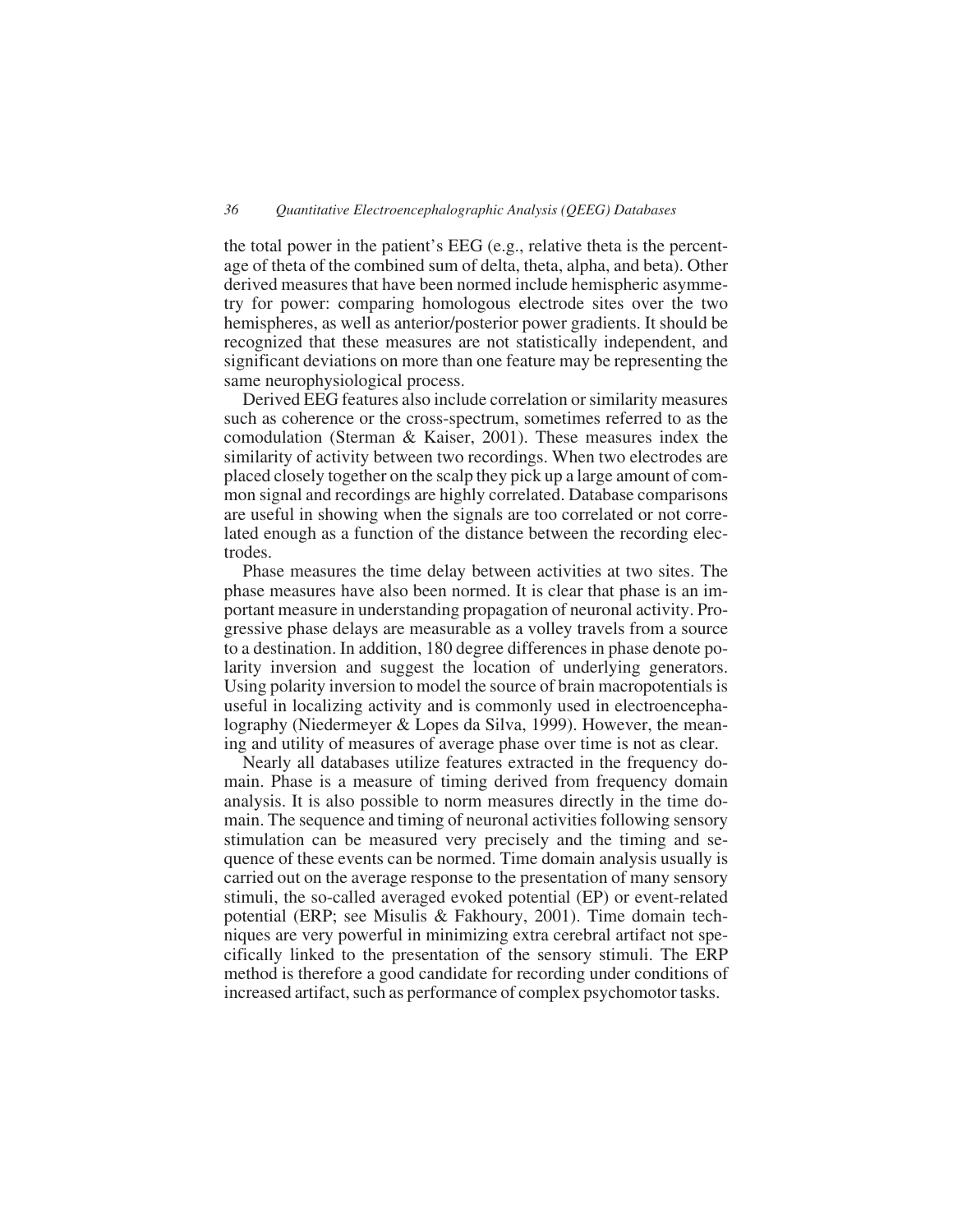the total power in the patient's EEG (e.g., relative theta is the percentage of theta of the combined sum of delta, theta, alpha, and beta). Other derived measures that have been normed include hemispheric asymmetry for power: comparing homologous electrode sites over the two hemispheres, as well as anterior/posterior power gradients. It should be recognized that these measures are not statistically independent, and significant deviations on more than one feature may be representing the same neurophysiological process.

Derived EEG features also include correlation or similarity measures such as coherence or the cross-spectrum, sometimes referred to as the comodulation (Sterman & Kaiser, 2001). These measures index the similarity of activity between two recordings. When two electrodes are placed closely together on the scalp they pick up a large amount of common signal and recordings are highly correlated. Database comparisons are useful in showing when the signals are too correlated or not correlated enough as a function of the distance between the recording electrodes.

Phase measures the time delay between activities at two sites. The phase measures have also been normed. It is clear that phase is an important measure in understanding propagation of neuronal activity. Progressive phase delays are measurable as a volley travels from a source to a destination. In addition, 180 degree differences in phase denote polarity inversion and suggest the location of underlying generators. Using polarity inversion to model the source of brain macropotentials is useful in localizing activity and is commonly used in electroencephalography (Niedermeyer & Lopes da Silva, 1999). However, the meaning and utility of measures of average phase over time is not as clear.

Nearly all databases utilize features extracted in the frequency domain. Phase is a measure of timing derived from frequency domain analysis. It is also possible to norm measures directly in the time domain. The sequence and timing of neuronal activities following sensory stimulation can be measured very precisely and the timing and sequence of these events can be normed. Time domain analysis usually is carried out on the average response to the presentation of many sensory stimuli, the so-called averaged evoked potential (EP) or event-related potential (ERP; see Misulis & Fakhoury, 2001). Time domain techniques are very powerful in minimizing extra cerebral artifact not specifically linked to the presentation of the sensory stimuli. The ERP method is therefore a good candidate for recording under conditions of increased artifact, such as performance of complex psychomotor tasks.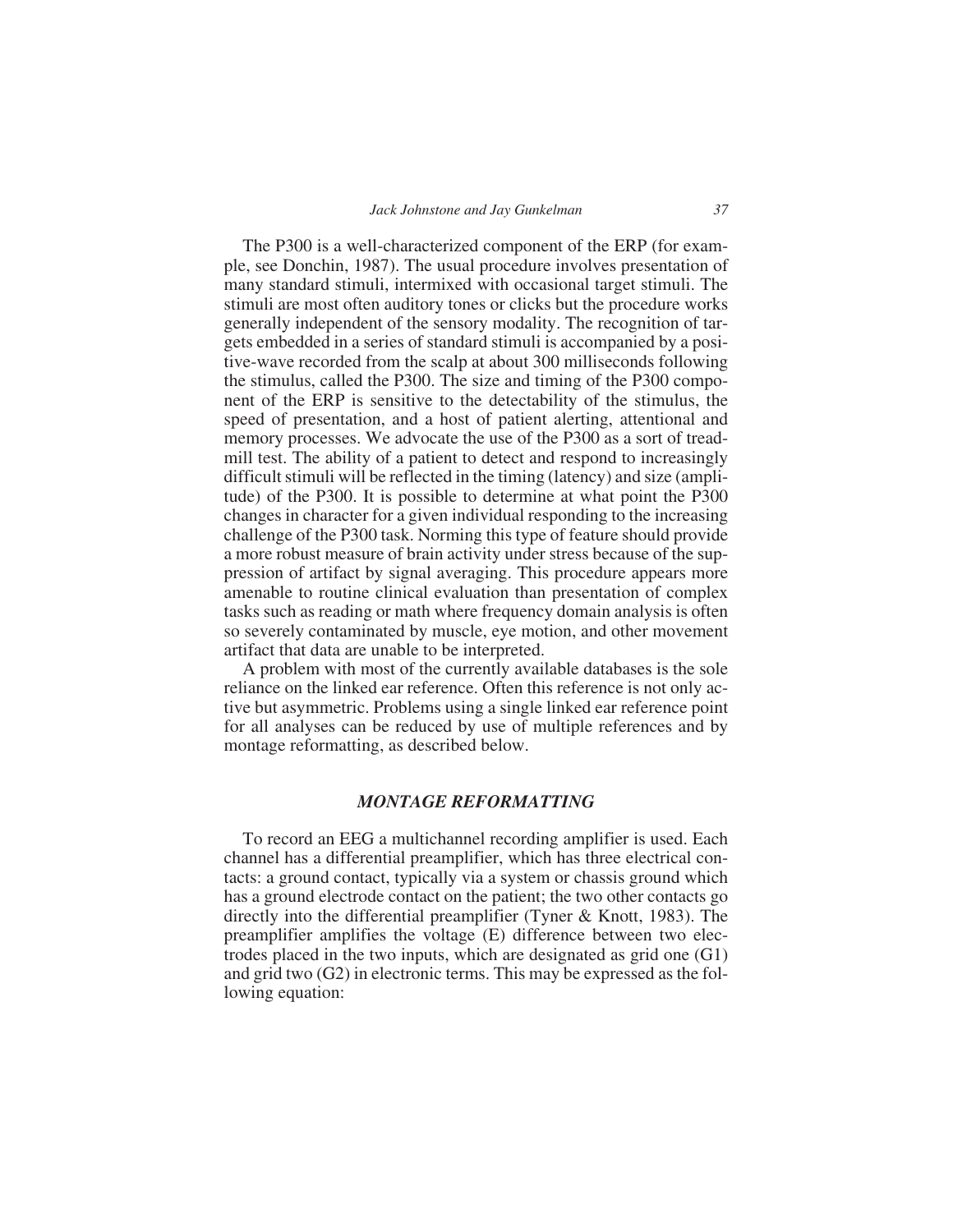The P300 is a well-characterized component of the ERP (for example, see Donchin, 1987). The usual procedure involves presentation of many standard stimuli, intermixed with occasional target stimuli. The stimuli are most often auditory tones or clicks but the procedure works generally independent of the sensory modality. The recognition of targets embedded in a series of standard stimuli is accompanied by a positive-wave recorded from the scalp at about 300 milliseconds following the stimulus, called the P300. The size and timing of the P300 component of the ERP is sensitive to the detectability of the stimulus, the speed of presentation, and a host of patient alerting, attentional and memory processes. We advocate the use of the P300 as a sort of treadmill test. The ability of a patient to detect and respond to increasingly difficult stimuli will be reflected in the timing (latency) and size (amplitude) of the P300. It is possible to determine at what point the P300 changes in character for a given individual responding to the increasing challenge of the P300 task. Norming this type of feature should provide a more robust measure of brain activity under stress because of the suppression of artifact by signal averaging. This procedure appears more amenable to routine clinical evaluation than presentation of complex tasks such as reading or math where frequency domain analysis is often so severely contaminated by muscle, eye motion, and other movement artifact that data are unable to be interpreted.

A problem with most of the currently available databases is the sole reliance on the linked ear reference. Often this reference is not only active but asymmetric. Problems using a single linked ear reference point for all analyses can be reduced by use of multiple references and by montage reformatting, as described below.

# *MONTAGE REFORMATTING*

To record an EEG a multichannel recording amplifier is used. Each channel has a differential preamplifier, which has three electrical contacts: a ground contact, typically via a system or chassis ground which has a ground electrode contact on the patient; the two other contacts go directly into the differential preamplifier (Tyner & Knott, 1983). The preamplifier amplifies the voltage (E) difference between two electrodes placed in the two inputs, which are designated as grid one (G1) and grid two (G2) in electronic terms. This may be expressed as the following equation: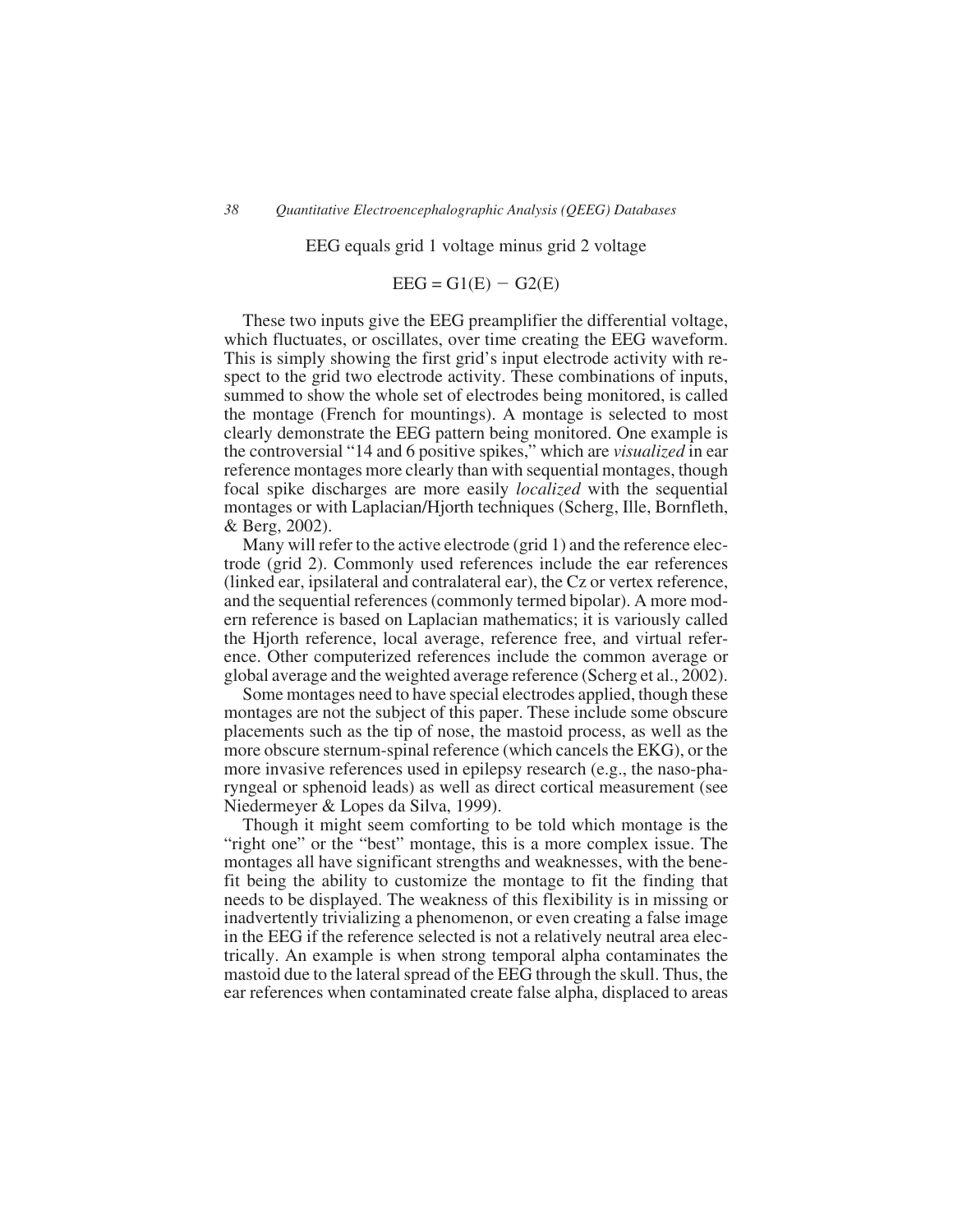EEG equals grid 1 voltage minus grid 2 voltage

# $EEG = G1(E) - G2(E)$

These two inputs give the EEG preamplifier the differential voltage, which fluctuates, or oscillates, over time creating the EEG waveform. This is simply showing the first grid's input electrode activity with respect to the grid two electrode activity. These combinations of inputs, summed to show the whole set of electrodes being monitored, is called the montage (French for mountings). A montage is selected to most clearly demonstrate the EEG pattern being monitored. One example is the controversial "14 and 6 positive spikes," which are *visualized* in ear reference montages more clearly than with sequential montages, though focal spike discharges are more easily *localized* with the sequential montages or with Laplacian/Hjorth techniques (Scherg, Ille, Bornfleth, & Berg, 2002).

Many will refer to the active electrode (grid 1) and the reference electrode (grid 2). Commonly used references include the ear references (linked ear, ipsilateral and contralateral ear), the Cz or vertex reference, and the sequential references (commonly termed bipolar). A more modern reference is based on Laplacian mathematics; it is variously called the Hjorth reference, local average, reference free, and virtual reference. Other computerized references include the common average or global average and the weighted average reference (Scherg et al., 2002).

Some montages need to have special electrodes applied, though these montages are not the subject of this paper. These include some obscure placements such as the tip of nose, the mastoid process, as well as the more obscure sternum-spinal reference (which cancels the EKG), or the more invasive references used in epilepsy research (e.g., the naso-pharyngeal or sphenoid leads) as well as direct cortical measurement (see Niedermeyer & Lopes da Silva, 1999).

Though it might seem comforting to be told which montage is the "right one" or the "best" montage, this is a more complex issue. The montages all have significant strengths and weaknesses, with the benefit being the ability to customize the montage to fit the finding that needs to be displayed. The weakness of this flexibility is in missing or inadvertently trivializing a phenomenon, or even creating a false image in the EEG if the reference selected is not a relatively neutral area electrically. An example is when strong temporal alpha contaminates the mastoid due to the lateral spread of the EEG through the skull. Thus, the ear references when contaminated create false alpha, displaced to areas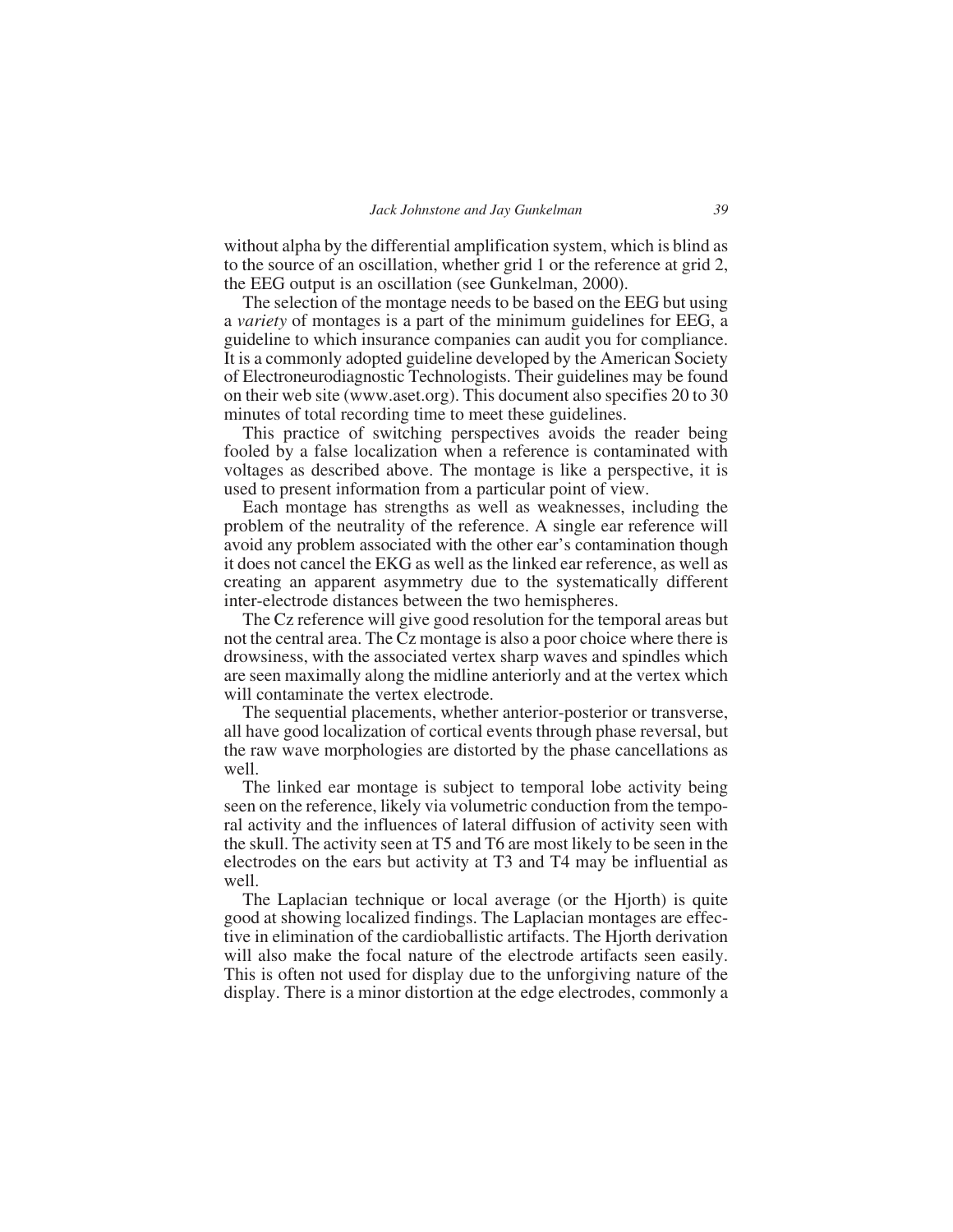without alpha by the differential amplification system, which is blind as to the source of an oscillation, whether grid 1 or the reference at grid 2, the EEG output is an oscillation (see Gunkelman, 2000).

The selection of the montage needs to be based on the EEG but using a *variety* of montages is a part of the minimum guidelines for EEG, a guideline to which insurance companies can audit you for compliance. It is a commonly adopted guideline developed by the American Society of Electroneurodiagnostic Technologists. Their guidelines may be found on their web site (www.aset.org). This document also specifies 20 to 30 minutes of total recording time to meet these guidelines.

This practice of switching perspectives avoids the reader being fooled by a false localization when a reference is contaminated with voltages as described above. The montage is like a perspective, it is used to present information from a particular point of view.

Each montage has strengths as well as weaknesses, including the problem of the neutrality of the reference. A single ear reference will avoid any problem associated with the other ear's contamination though it does not cancel the EKG as well as the linked ear reference, as well as creating an apparent asymmetry due to the systematically different inter-electrode distances between the two hemispheres.

The Cz reference will give good resolution for the temporal areas but not the central area. The Cz montage is also a poor choice where there is drowsiness, with the associated vertex sharp waves and spindles which are seen maximally along the midline anteriorly and at the vertex which will contaminate the vertex electrode.

The sequential placements, whether anterior-posterior or transverse, all have good localization of cortical events through phase reversal, but the raw wave morphologies are distorted by the phase cancellations as well.

The linked ear montage is subject to temporal lobe activity being seen on the reference, likely via volumetric conduction from the temporal activity and the influences of lateral diffusion of activity seen with the skull. The activity seen at T5 and T6 are most likely to be seen in the electrodes on the ears but activity at T3 and T4 may be influential as well.

The Laplacian technique or local average (or the Hjorth) is quite good at showing localized findings. The Laplacian montages are effective in elimination of the cardioballistic artifacts. The Hjorth derivation will also make the focal nature of the electrode artifacts seen easily. This is often not used for display due to the unforgiving nature of the display. There is a minor distortion at the edge electrodes, commonly a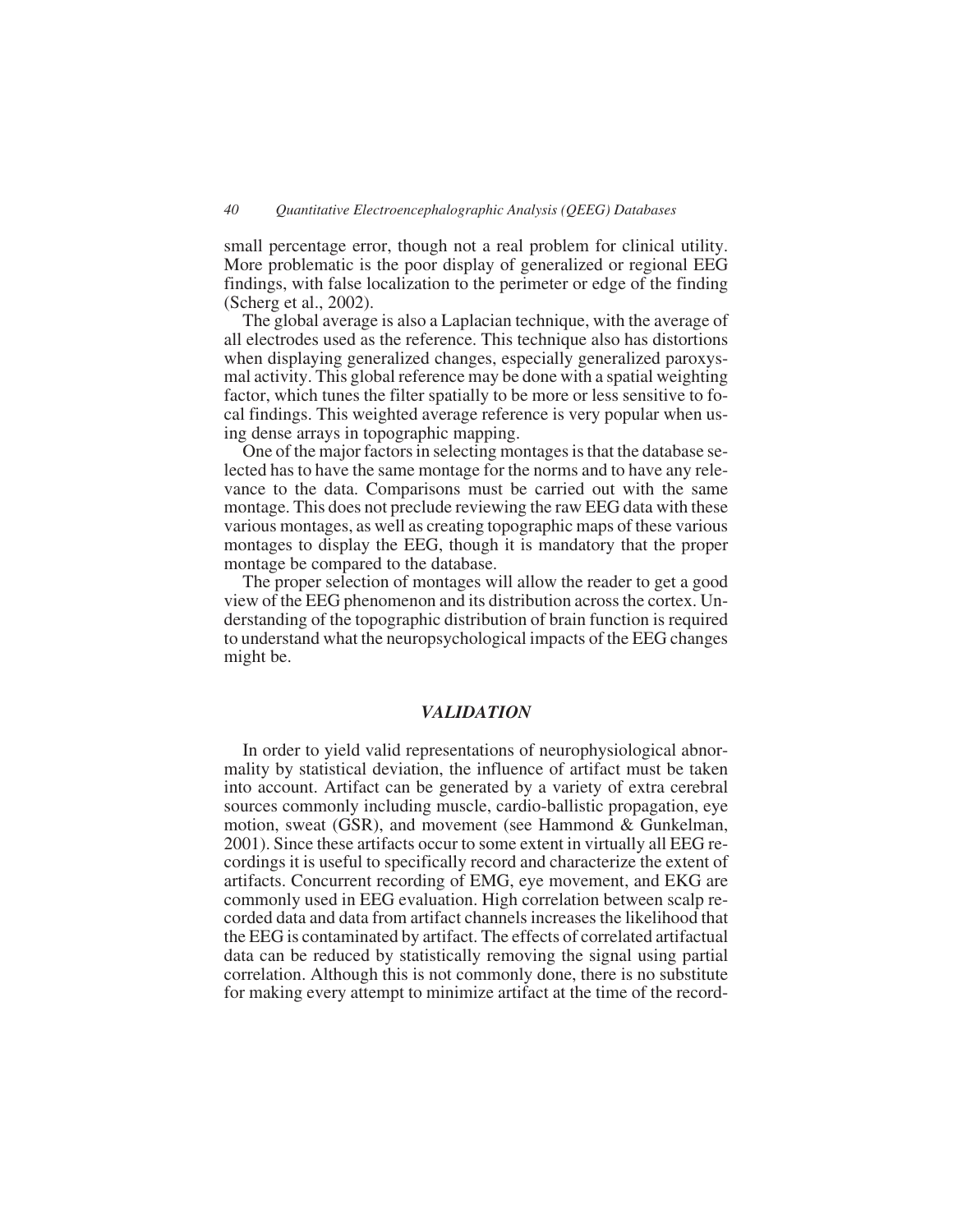small percentage error, though not a real problem for clinical utility. More problematic is the poor display of generalized or regional EEG findings, with false localization to the perimeter or edge of the finding (Scherg et al., 2002).

The global average is also a Laplacian technique, with the average of all electrodes used as the reference. This technique also has distortions when displaying generalized changes, especially generalized paroxysmal activity. This global reference may be done with a spatial weighting factor, which tunes the filter spatially to be more or less sensitive to focal findings. This weighted average reference is very popular when using dense arrays in topographic mapping.

One of the major factors in selecting montages is that the database selected has to have the same montage for the norms and to have any relevance to the data. Comparisons must be carried out with the same montage. This does not preclude reviewing the raw EEG data with these various montages, as well as creating topographic maps of these various montages to display the EEG, though it is mandatory that the proper montage be compared to the database.

The proper selection of montages will allow the reader to get a good view of the EEG phenomenon and its distribution across the cortex. Understanding of the topographic distribution of brain function is required to understand what the neuropsychological impacts of the EEG changes might be.

### *VALIDATION*

In order to yield valid representations of neurophysiological abnormality by statistical deviation, the influence of artifact must be taken into account. Artifact can be generated by a variety of extra cerebral sources commonly including muscle, cardio-ballistic propagation, eye motion, sweat (GSR), and movement (see Hammond & Gunkelman, 2001). Since these artifacts occur to some extent in virtually all EEG recordings it is useful to specifically record and characterize the extent of artifacts. Concurrent recording of EMG, eye movement, and EKG are commonly used in EEG evaluation. High correlation between scalp recorded data and data from artifact channels increases the likelihood that the EEG is contaminated by artifact. The effects of correlated artifactual data can be reduced by statistically removing the signal using partial correlation. Although this is not commonly done, there is no substitute for making every attempt to minimize artifact at the time of the record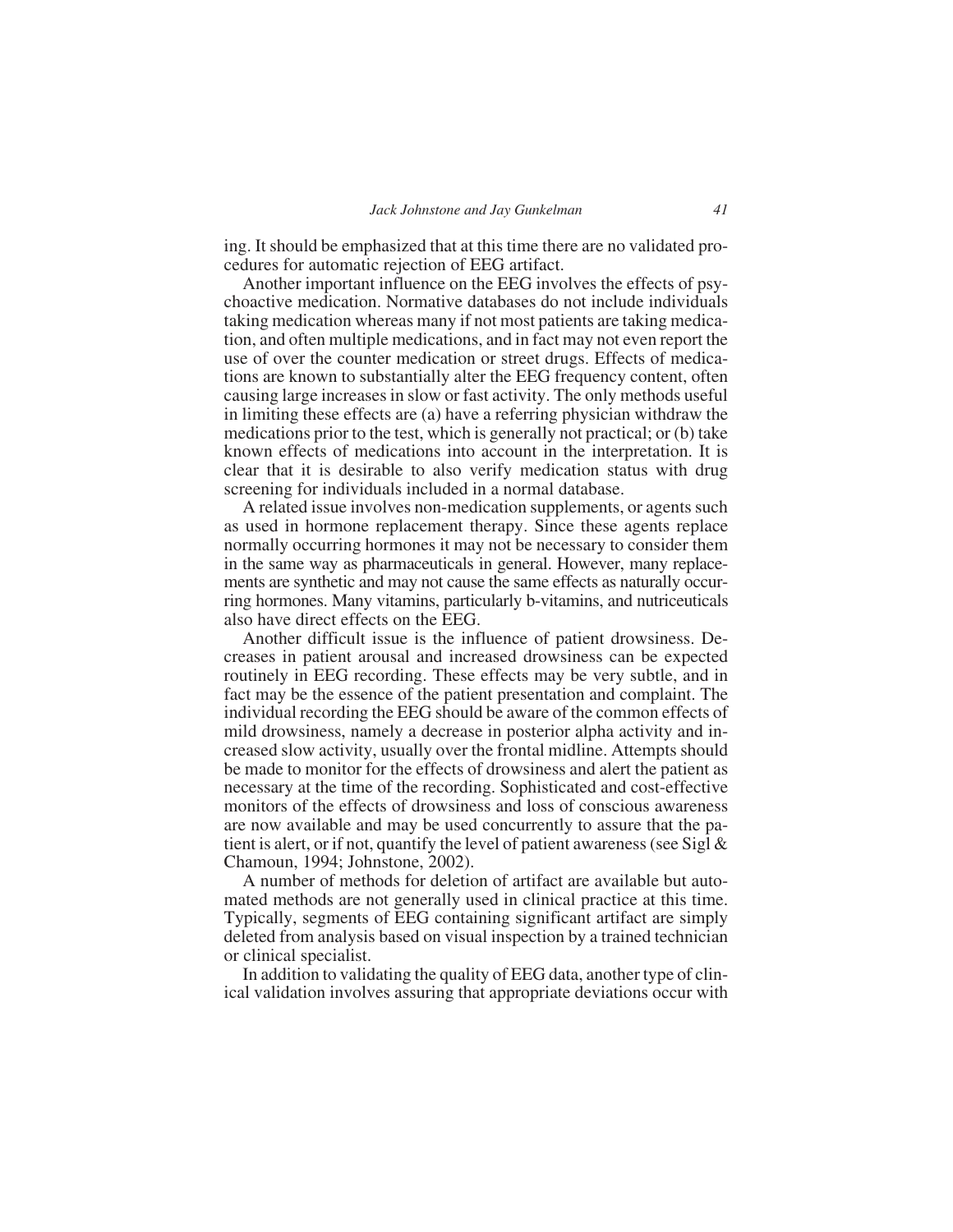ing. It should be emphasized that at this time there are no validated procedures for automatic rejection of EEG artifact.

Another important influence on the EEG involves the effects of psychoactive medication. Normative databases do not include individuals taking medication whereas many if not most patients are taking medication, and often multiple medications, and in fact may not even report the use of over the counter medication or street drugs. Effects of medications are known to substantially alter the EEG frequency content, often causing large increases in slow or fast activity. The only methods useful in limiting these effects are (a) have a referring physician withdraw the medications prior to the test, which is generally not practical; or (b) take known effects of medications into account in the interpretation. It is clear that it is desirable to also verify medication status with drug screening for individuals included in a normal database.

A related issue involves non-medication supplements, or agents such as used in hormone replacement therapy. Since these agents replace normally occurring hormones it may not be necessary to consider them in the same way as pharmaceuticals in general. However, many replacements are synthetic and may not cause the same effects as naturally occurring hormones. Many vitamins, particularly b-vitamins, and nutriceuticals also have direct effects on the EEG.

Another difficult issue is the influence of patient drowsiness. Decreases in patient arousal and increased drowsiness can be expected routinely in EEG recording. These effects may be very subtle, and in fact may be the essence of the patient presentation and complaint. The individual recording the EEG should be aware of the common effects of mild drowsiness, namely a decrease in posterior alpha activity and increased slow activity, usually over the frontal midline. Attempts should be made to monitor for the effects of drowsiness and alert the patient as necessary at the time of the recording. Sophisticated and cost-effective monitors of the effects of drowsiness and loss of conscious awareness are now available and may be used concurrently to assure that the patient is alert, or if not, quantify the level of patient awareness (see Sigl & Chamoun, 1994; Johnstone, 2002).

A number of methods for deletion of artifact are available but automated methods are not generally used in clinical practice at this time. Typically, segments of EEG containing significant artifact are simply deleted from analysis based on visual inspection by a trained technician or clinical specialist.

In addition to validating the quality of EEG data, another type of clinical validation involves assuring that appropriate deviations occur with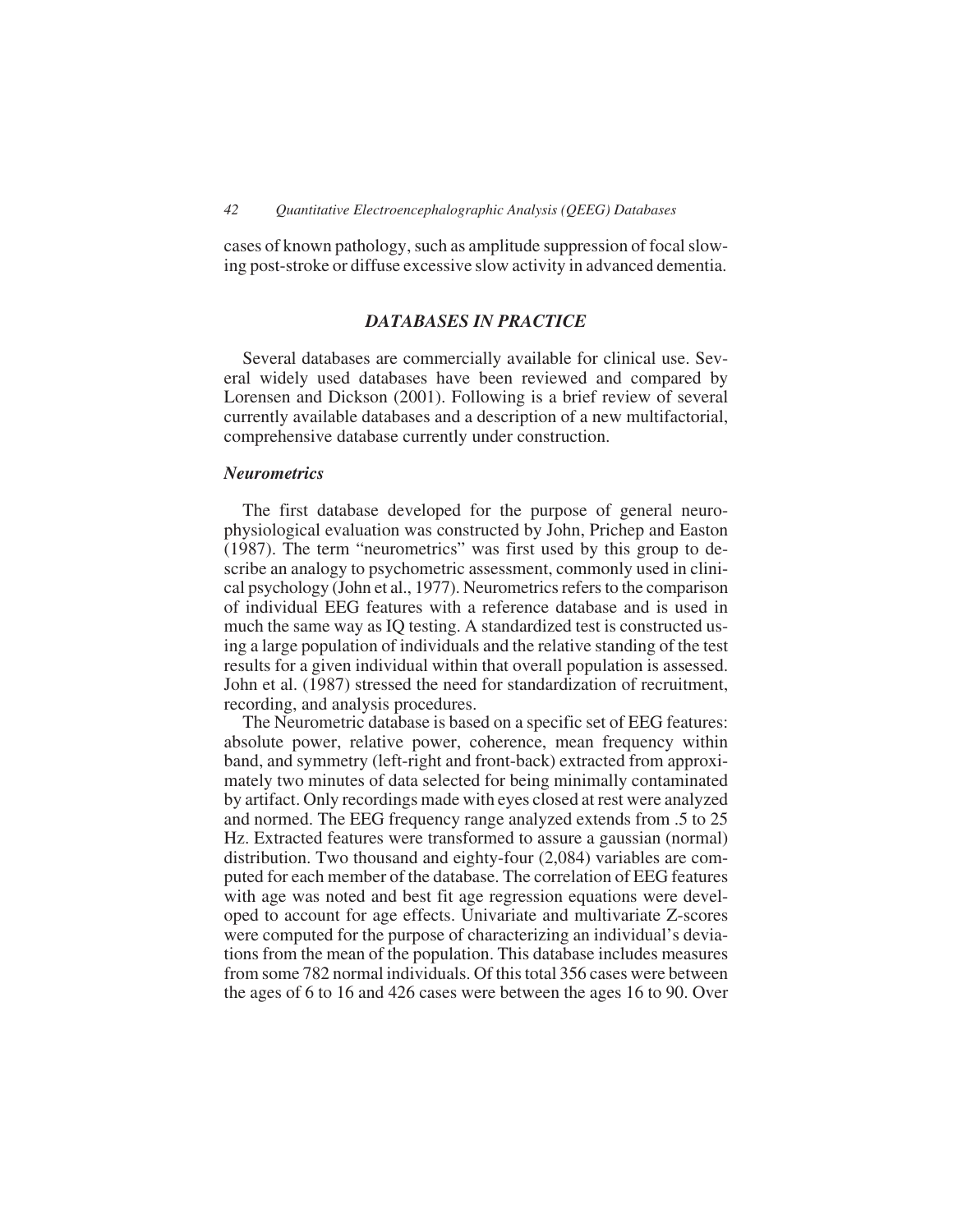cases of known pathology, such as amplitude suppression of focal slowing post-stroke or diffuse excessive slow activity in advanced dementia.

# *DATABASES IN PRACTICE*

Several databases are commercially available for clinical use. Several widely used databases have been reviewed and compared by Lorensen and Dickson (2001). Following is a brief review of several currently available databases and a description of a new multifactorial, comprehensive database currently under construction.

#### *Neurometrics*

The first database developed for the purpose of general neurophysiological evaluation was constructed by John, Prichep and Easton (1987). The term "neurometrics" was first used by this group to describe an analogy to psychometric assessment, commonly used in clinical psychology (John et al., 1977). Neurometrics refers to the comparison of individual EEG features with a reference database and is used in much the same way as IQ testing. A standardized test is constructed using a large population of individuals and the relative standing of the test results for a given individual within that overall population is assessed. John et al. (1987) stressed the need for standardization of recruitment, recording, and analysis procedures.

The Neurometric database is based on a specific set of EEG features: absolute power, relative power, coherence, mean frequency within band, and symmetry (left-right and front-back) extracted from approximately two minutes of data selected for being minimally contaminated by artifact. Only recordings made with eyes closed at rest were analyzed and normed. The EEG frequency range analyzed extends from .5 to 25 Hz. Extracted features were transformed to assure a gaussian (normal) distribution. Two thousand and eighty-four (2,084) variables are computed for each member of the database. The correlation of EEG features with age was noted and best fit age regression equations were developed to account for age effects. Univariate and multivariate Z-scores were computed for the purpose of characterizing an individual's deviations from the mean of the population. This database includes measures from some 782 normal individuals. Of this total 356 cases were between the ages of 6 to 16 and 426 cases were between the ages 16 to 90. Over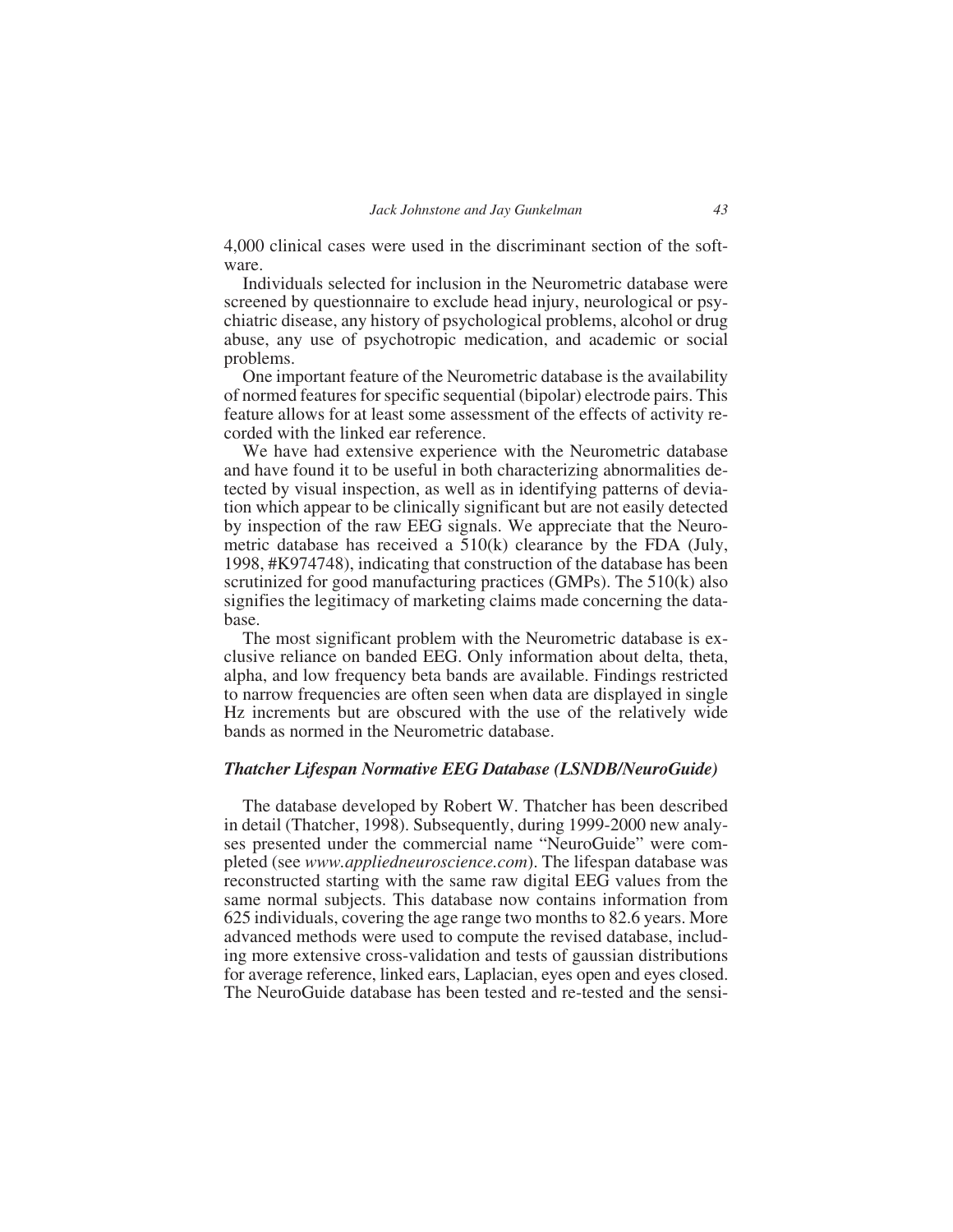4,000 clinical cases were used in the discriminant section of the software.

Individuals selected for inclusion in the Neurometric database were screened by questionnaire to exclude head injury, neurological or psychiatric disease, any history of psychological problems, alcohol or drug abuse, any use of psychotropic medication, and academic or social problems.

One important feature of the Neurometric database is the availability of normed features for specific sequential (bipolar) electrode pairs. This feature allows for at least some assessment of the effects of activity recorded with the linked ear reference.

We have had extensive experience with the Neurometric database and have found it to be useful in both characterizing abnormalities detected by visual inspection, as well as in identifying patterns of deviation which appear to be clinically significant but are not easily detected by inspection of the raw EEG signals. We appreciate that the Neurometric database has received a 510(k) clearance by the FDA (July, 1998, #K974748), indicating that construction of the database has been scrutinized for good manufacturing practices (GMPs). The 510(k) also signifies the legitimacy of marketing claims made concerning the database.

The most significant problem with the Neurometric database is exclusive reliance on banded EEG. Only information about delta, theta, alpha, and low frequency beta bands are available. Findings restricted to narrow frequencies are often seen when data are displayed in single Hz increments but are obscured with the use of the relatively wide bands as normed in the Neurometric database.

# *Thatcher Lifespan Normative EEG Database (LSNDB/NeuroGuide)*

The database developed by Robert W. Thatcher has been described in detail (Thatcher, 1998). Subsequently, during 1999-2000 new analyses presented under the commercial name "NeuroGuide" were completed (see *www.appliedneuroscience.com*). The lifespan database was reconstructed starting with the same raw digital EEG values from the same normal subjects. This database now contains information from 625 individuals, covering the age range two months to 82.6 years. More advanced methods were used to compute the revised database, including more extensive cross-validation and tests of gaussian distributions for average reference, linked ears, Laplacian, eyes open and eyes closed. The NeuroGuide database has been tested and re-tested and the sensi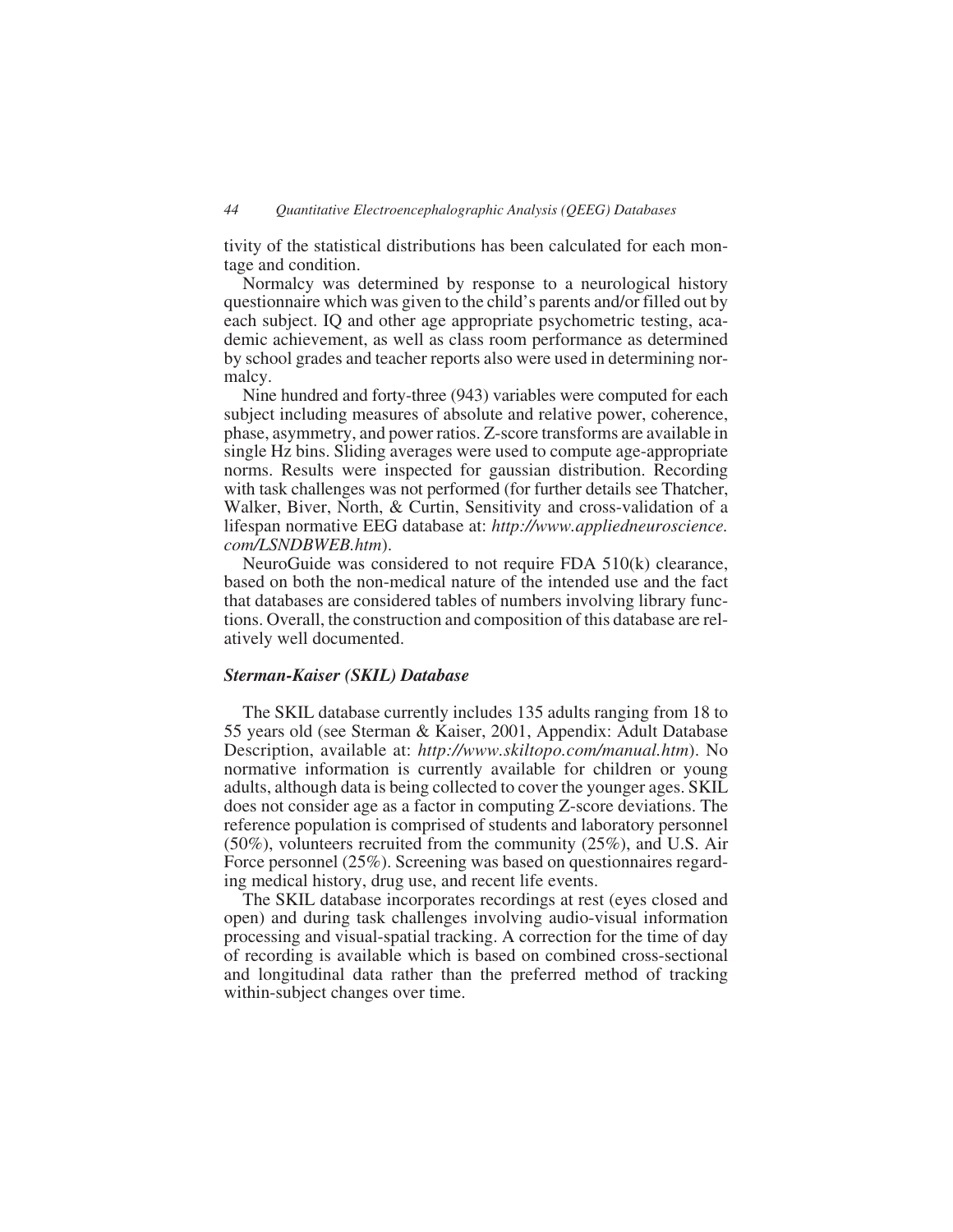tivity of the statistical distributions has been calculated for each montage and condition.

Normalcy was determined by response to a neurological history questionnaire which was given to the child's parents and/or filled out by each subject. IQ and other age appropriate psychometric testing, academic achievement, as well as class room performance as determined by school grades and teacher reports also were used in determining normalcy.

Nine hundred and forty-three (943) variables were computed for each subject including measures of absolute and relative power, coherence, phase, asymmetry, and power ratios. Z-score transforms are available in single Hz bins. Sliding averages were used to compute age-appropriate norms. Results were inspected for gaussian distribution. Recording with task challenges was not performed (for further details see Thatcher, Walker, Biver, North, & Curtin, Sensitivity and cross-validation of a lifespan normative EEG database at: *http://www.appliedneuroscience. com/LSNDBWEB.htm*).

NeuroGuide was considered to not require FDA 510(k) clearance, based on both the non-medical nature of the intended use and the fact that databases are considered tables of numbers involving library functions. Overall, the construction and composition of this database are relatively well documented.

#### *Sterman-Kaiser (SKIL) Database*

The SKIL database currently includes 135 adults ranging from 18 to 55 years old (see Sterman & Kaiser, 2001, Appendix: Adult Database Description, available at: *http://www.skiltopo.com/manual.htm*). No normative information is currently available for children or young adults, although data is being collected to cover the younger ages. SKIL does not consider age as a factor in computing Z-score deviations. The reference population is comprised of students and laboratory personnel (50%), volunteers recruited from the community (25%), and U.S. Air Force personnel (25%). Screening was based on questionnaires regarding medical history, drug use, and recent life events.

The SKIL database incorporates recordings at rest (eyes closed and open) and during task challenges involving audio-visual information processing and visual-spatial tracking. A correction for the time of day of recording is available which is based on combined cross-sectional and longitudinal data rather than the preferred method of tracking within-subject changes over time.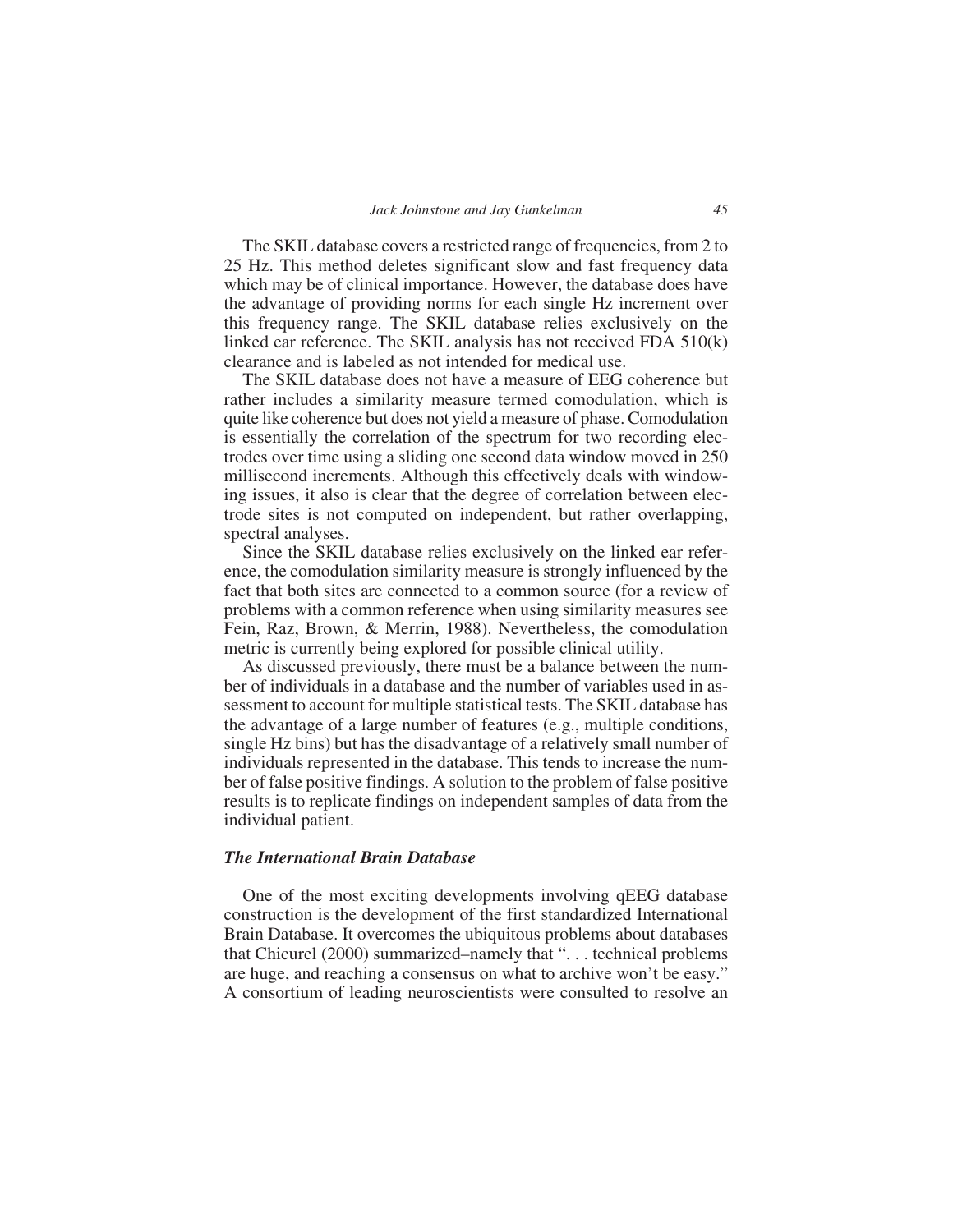The SKIL database covers a restricted range of frequencies, from 2 to 25 Hz. This method deletes significant slow and fast frequency data which may be of clinical importance. However, the database does have the advantage of providing norms for each single Hz increment over this frequency range. The SKIL database relies exclusively on the linked ear reference. The SKIL analysis has not received FDA 510(k) clearance and is labeled as not intended for medical use.

The SKIL database does not have a measure of EEG coherence but rather includes a similarity measure termed comodulation, which is quite like coherence but does not yield a measure of phase. Comodulation is essentially the correlation of the spectrum for two recording electrodes over time using a sliding one second data window moved in 250 millisecond increments. Although this effectively deals with windowing issues, it also is clear that the degree of correlation between electrode sites is not computed on independent, but rather overlapping, spectral analyses.

Since the SKIL database relies exclusively on the linked ear reference, the comodulation similarity measure is strongly influenced by the fact that both sites are connected to a common source (for a review of problems with a common reference when using similarity measures see Fein, Raz, Brown, & Merrin, 1988). Nevertheless, the comodulation metric is currently being explored for possible clinical utility.

As discussed previously, there must be a balance between the number of individuals in a database and the number of variables used in assessment to account for multiple statistical tests. The SKIL database has the advantage of a large number of features (e.g., multiple conditions, single Hz bins) but has the disadvantage of a relatively small number of individuals represented in the database. This tends to increase the number of false positive findings. A solution to the problem of false positive results is to replicate findings on independent samples of data from the individual patient.

#### *The International Brain Database*

One of the most exciting developments involving qEEG database construction is the development of the first standardized International Brain Database. It overcomes the ubiquitous problems about databases that Chicurel (2000) summarized–namely that ". . . technical problems are huge, and reaching a consensus on what to archive won't be easy." A consortium of leading neuroscientists were consulted to resolve an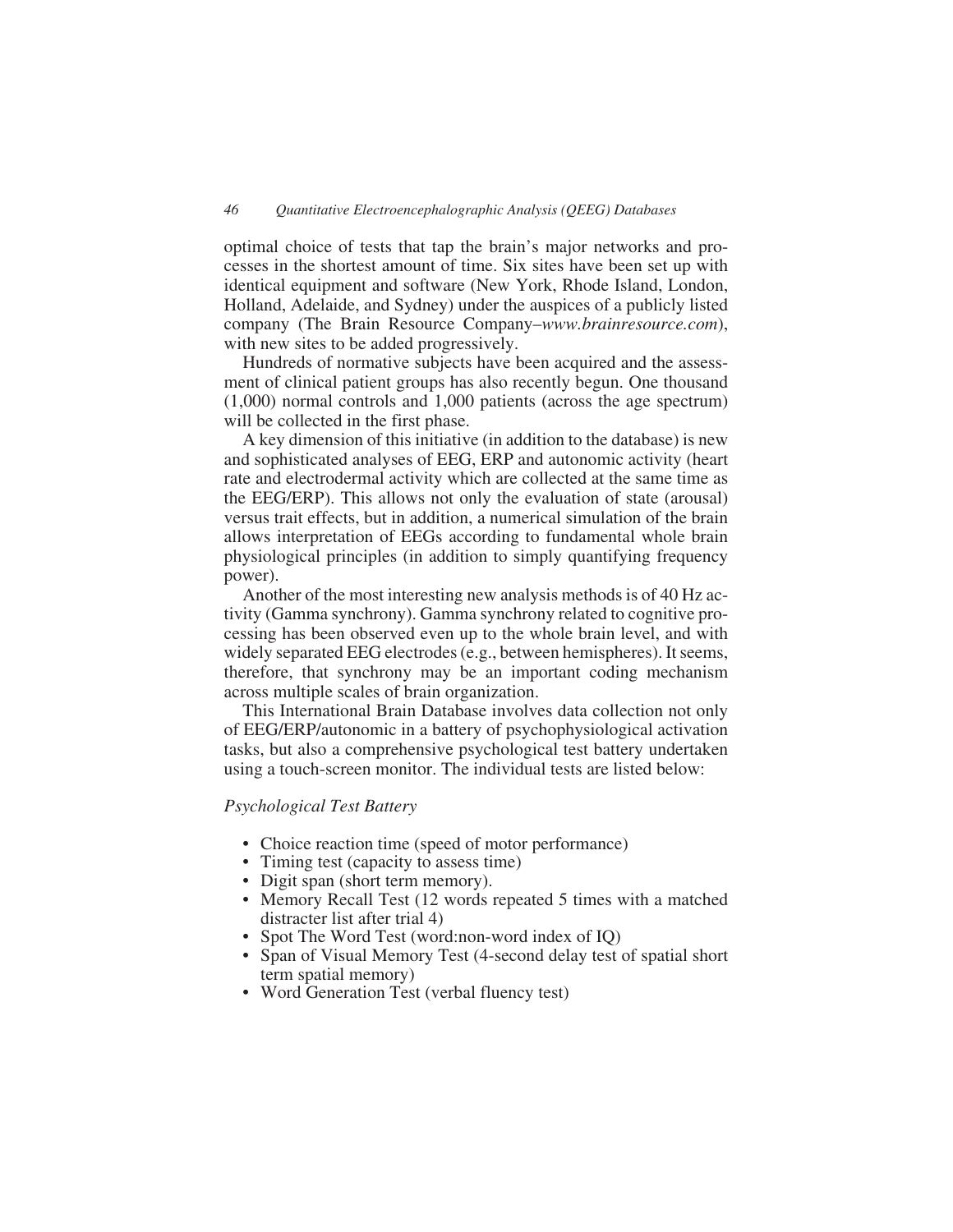optimal choice of tests that tap the brain's major networks and processes in the shortest amount of time. Six sites have been set up with identical equipment and software (New York, Rhode Island, London, Holland, Adelaide, and Sydney) under the auspices of a publicly listed company (The Brain Resource Company–*www.brainresource.com*), with new sites to be added progressively.

Hundreds of normative subjects have been acquired and the assessment of clinical patient groups has also recently begun. One thousand (1,000) normal controls and 1,000 patients (across the age spectrum) will be collected in the first phase.

A key dimension of this initiative (in addition to the database) is new and sophisticated analyses of EEG, ERP and autonomic activity (heart rate and electrodermal activity which are collected at the same time as the EEG/ERP). This allows not only the evaluation of state (arousal) versus trait effects, but in addition, a numerical simulation of the brain allows interpretation of EEGs according to fundamental whole brain physiological principles (in addition to simply quantifying frequency power).

Another of the most interesting new analysis methods is of 40 Hz activity (Gamma synchrony). Gamma synchrony related to cognitive processing has been observed even up to the whole brain level, and with widely separated EEG electrodes (e.g., between hemispheres). It seems, therefore, that synchrony may be an important coding mechanism across multiple scales of brain organization.

This International Brain Database involves data collection not only of EEG/ERP/autonomic in a battery of psychophysiological activation tasks, but also a comprehensive psychological test battery undertaken using a touch-screen monitor. The individual tests are listed below:

# *Psychological Test Battery*

- Choice reaction time (speed of motor performance)
- Timing test (capacity to assess time)
- Digit span (short term memory).
- Memory Recall Test (12 words repeated 5 times with a matched distracter list after trial 4)
- Spot The Word Test (word:non-word index of IQ)
- Span of Visual Memory Test (4-second delay test of spatial short term spatial memory)
- Word Generation Test (verbal fluency test)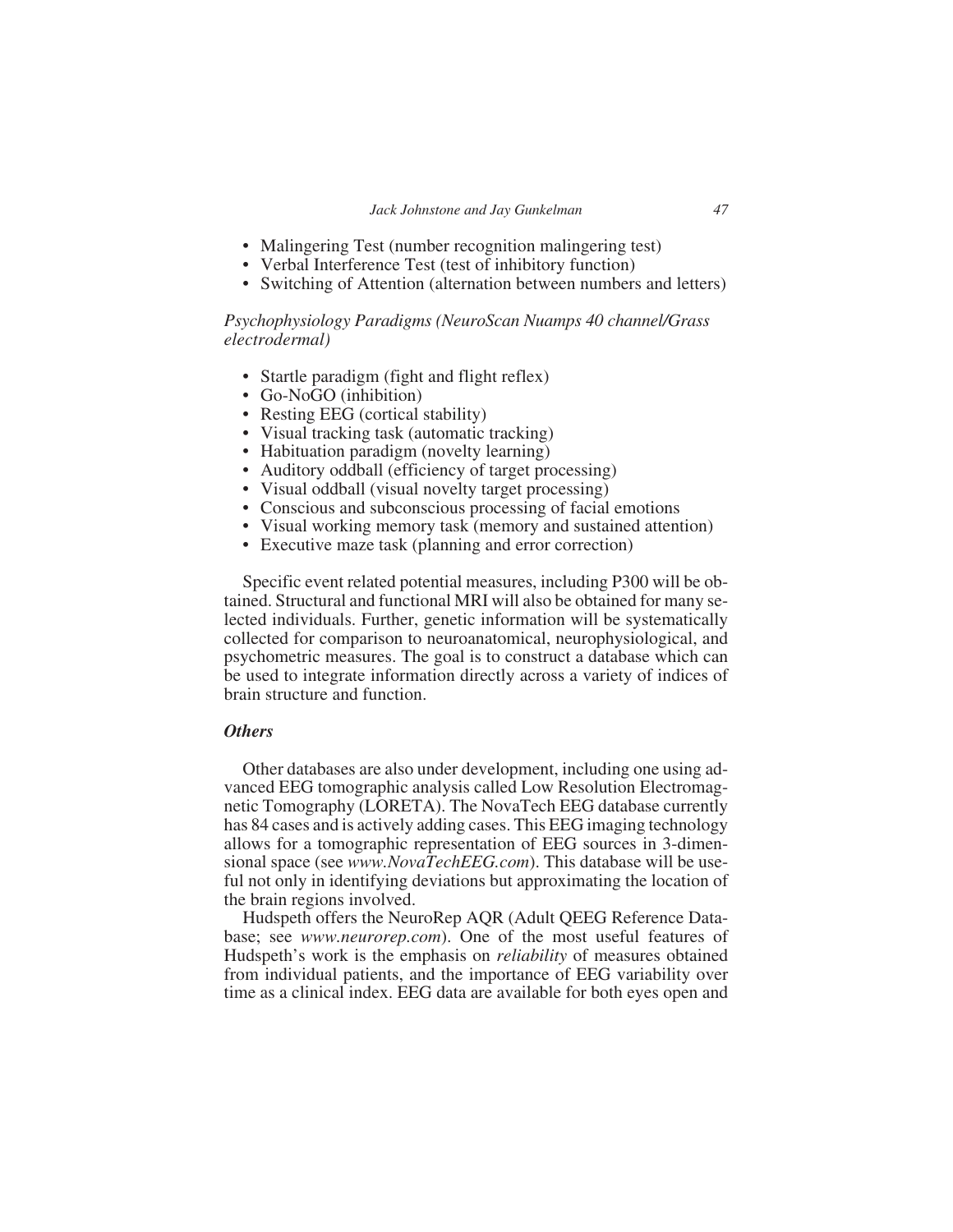#### *Jack Johnstone and Jay Gunkelman 47*

- Malingering Test (number recognition malingering test)
- Verbal Interference Test (test of inhibitory function)
- Switching of Attention (alternation between numbers and letters)

# *Psychophysiology Paradigms (NeuroScan Nuamps 40 channel/Grass electrodermal)*

- Startle paradigm (fight and flight reflex)
- Go-NoGO (inhibition)
- Resting EEG (cortical stability)
- Visual tracking task (automatic tracking)
- Habituation paradigm (novelty learning)
- Auditory oddball (efficiency of target processing)
- Visual oddball (visual novelty target processing)
- Conscious and subconscious processing of facial emotions
- Visual working memory task (memory and sustained attention)
- Executive maze task (planning and error correction)

Specific event related potential measures, including P300 will be obtained. Structural and functional MRI will also be obtained for many selected individuals. Further, genetic information will be systematically collected for comparison to neuroanatomical, neurophysiological, and psychometric measures. The goal is to construct a database which can be used to integrate information directly across a variety of indices of brain structure and function.

### *Others*

Other databases are also under development, including one using advanced EEG tomographic analysis called Low Resolution Electromagnetic Tomography (LORETA). The NovaTech EEG database currently has 84 cases and is actively adding cases. This EEG imaging technology allows for a tomographic representation of EEG sources in 3-dimensional space (see *www.NovaTechEEG.com*). This database will be useful not only in identifying deviations but approximating the location of the brain regions involved.

Hudspeth offers the NeuroRep AQR (Adult QEEG Reference Database; see *www.neurorep.com*). One of the most useful features of Hudspeth's work is the emphasis on *reliability* of measures obtained from individual patients, and the importance of EEG variability over time as a clinical index. EEG data are available for both eyes open and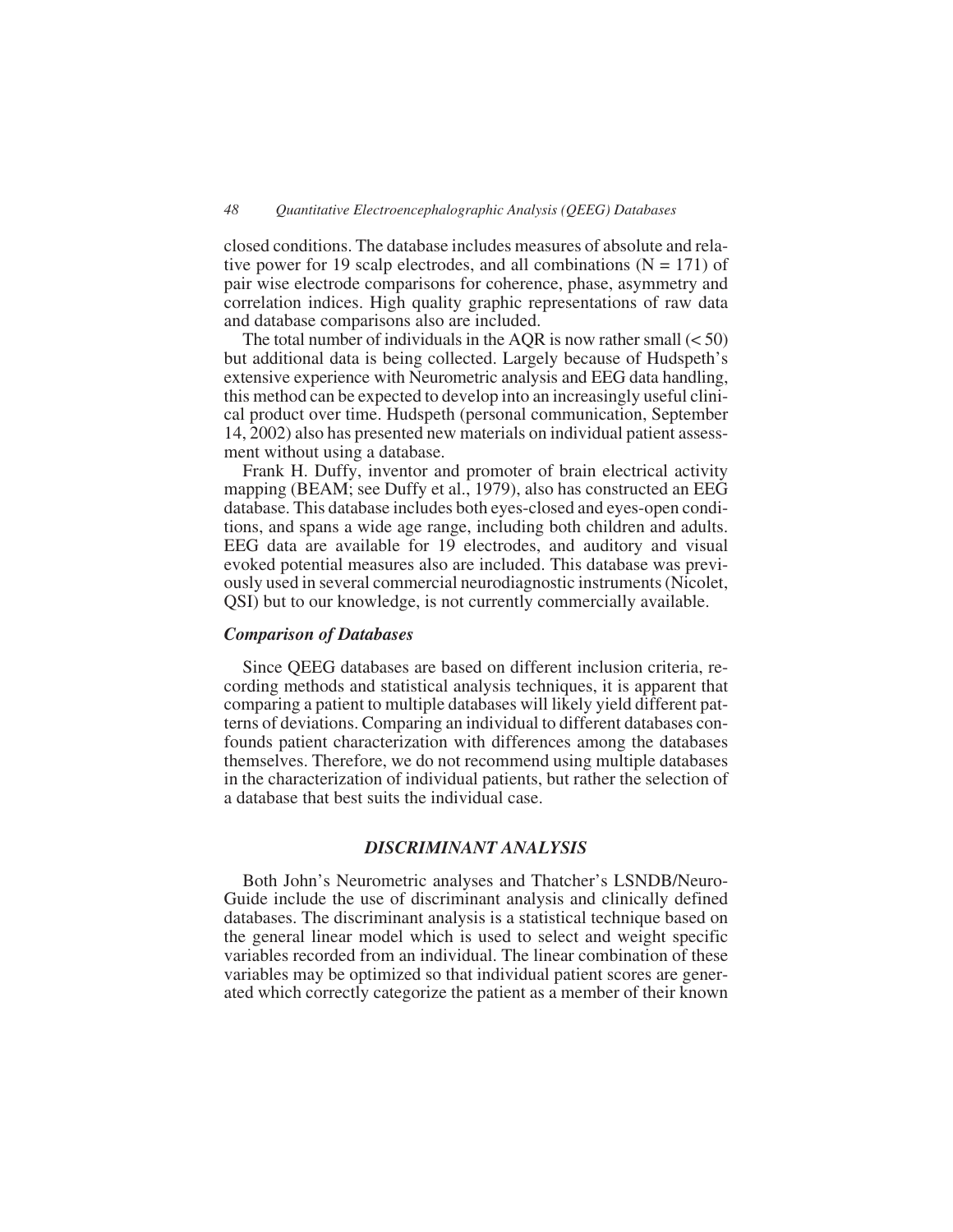closed conditions. The database includes measures of absolute and relative power for 19 scalp electrodes, and all combinations ( $N = 171$ ) of pair wise electrode comparisons for coherence, phase, asymmetry and correlation indices. High quality graphic representations of raw data and database comparisons also are included.

The total number of individuals in the AQR is now rather small  $(< 50$ ) but additional data is being collected. Largely because of Hudspeth's extensive experience with Neurometric analysis and EEG data handling, this method can be expected to develop into an increasingly useful clinical product over time. Hudspeth (personal communication, September 14, 2002) also has presented new materials on individual patient assessment without using a database.

Frank H. Duffy, inventor and promoter of brain electrical activity mapping (BEAM; see Duffy et al., 1979), also has constructed an EEG database. This database includes both eyes-closed and eyes-open conditions, and spans a wide age range, including both children and adults. EEG data are available for 19 electrodes, and auditory and visual evoked potential measures also are included. This database was previously used in several commercial neurodiagnostic instruments (Nicolet, QSI) but to our knowledge, is not currently commercially available.

#### *Comparison of Databases*

Since QEEG databases are based on different inclusion criteria, recording methods and statistical analysis techniques, it is apparent that comparing a patient to multiple databases will likely yield different patterns of deviations. Comparing an individual to different databases confounds patient characterization with differences among the databases themselves. Therefore, we do not recommend using multiple databases in the characterization of individual patients, but rather the selection of a database that best suits the individual case.

# *DISCRIMINANT ANALYSIS*

Both John's Neurometric analyses and Thatcher's LSNDB/Neuro-Guide include the use of discriminant analysis and clinically defined databases. The discriminant analysis is a statistical technique based on the general linear model which is used to select and weight specific variables recorded from an individual. The linear combination of these variables may be optimized so that individual patient scores are generated which correctly categorize the patient as a member of their known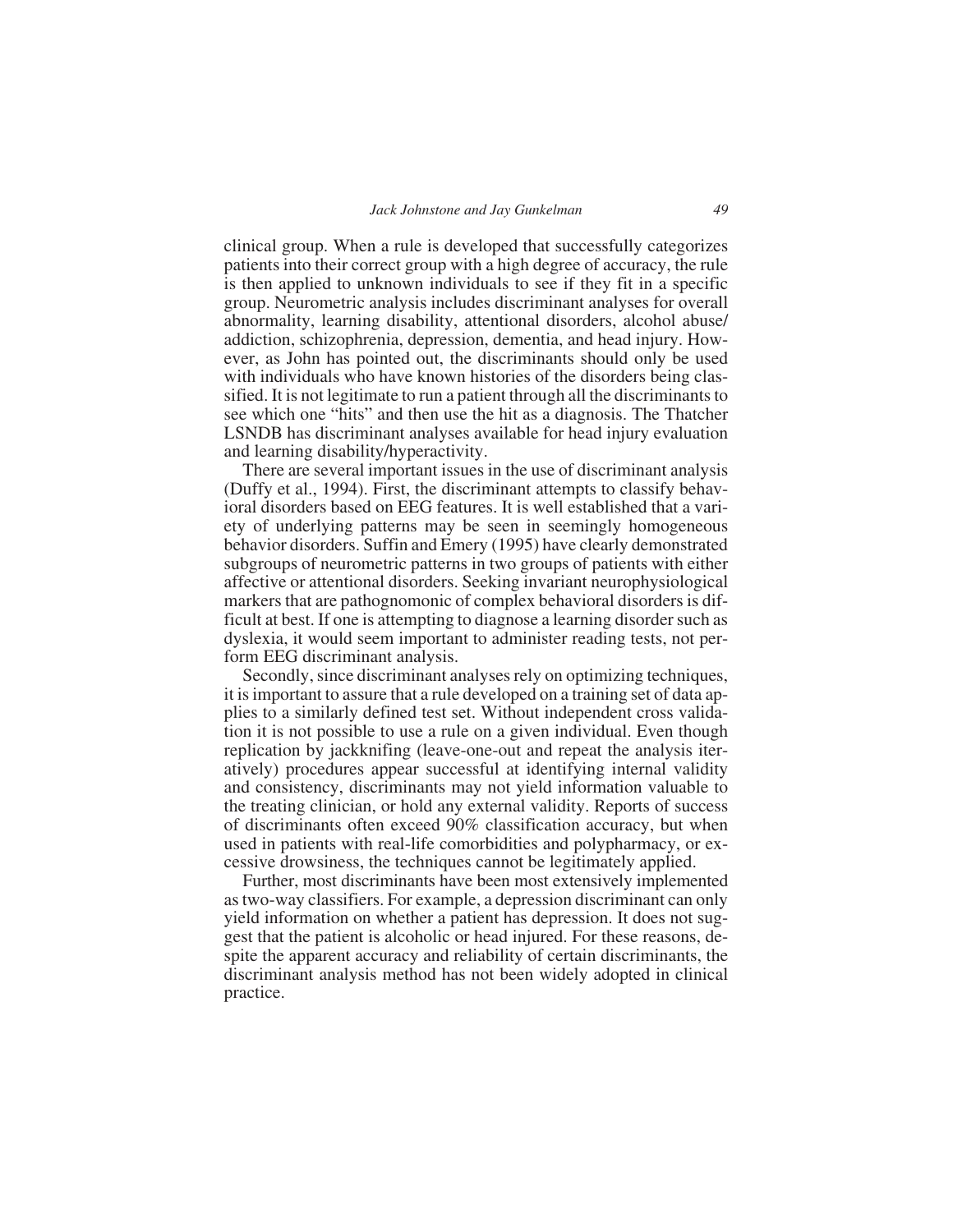clinical group. When a rule is developed that successfully categorizes patients into their correct group with a high degree of accuracy, the rule is then applied to unknown individuals to see if they fit in a specific group. Neurometric analysis includes discriminant analyses for overall abnormality, learning disability, attentional disorders, alcohol abuse/ addiction, schizophrenia, depression, dementia, and head injury. However, as John has pointed out, the discriminants should only be used with individuals who have known histories of the disorders being classified. It is not legitimate to run a patient through all the discriminants to see which one "hits" and then use the hit as a diagnosis. The Thatcher LSNDB has discriminant analyses available for head injury evaluation and learning disability/hyperactivity.

There are several important issues in the use of discriminant analysis (Duffy et al., 1994). First, the discriminant attempts to classify behavioral disorders based on EEG features. It is well established that a variety of underlying patterns may be seen in seemingly homogeneous behavior disorders. Suffin and Emery (1995) have clearly demonstrated subgroups of neurometric patterns in two groups of patients with either affective or attentional disorders. Seeking invariant neurophysiological markers that are pathognomonic of complex behavioral disorders is difficult at best. If one is attempting to diagnose a learning disorder such as dyslexia, it would seem important to administer reading tests, not perform EEG discriminant analysis.

Secondly, since discriminant analyses rely on optimizing techniques, it is important to assure that a rule developed on a training set of data applies to a similarly defined test set. Without independent cross validation it is not possible to use a rule on a given individual. Even though replication by jackknifing (leave-one-out and repeat the analysis iteratively) procedures appear successful at identifying internal validity and consistency, discriminants may not yield information valuable to the treating clinician, or hold any external validity. Reports of success of discriminants often exceed 90% classification accuracy, but when used in patients with real-life comorbidities and polypharmacy, or excessive drowsiness, the techniques cannot be legitimately applied.

Further, most discriminants have been most extensively implemented as two-way classifiers. For example, a depression discriminant can only yield information on whether a patient has depression. It does not suggest that the patient is alcoholic or head injured. For these reasons, despite the apparent accuracy and reliability of certain discriminants, the discriminant analysis method has not been widely adopted in clinical practice.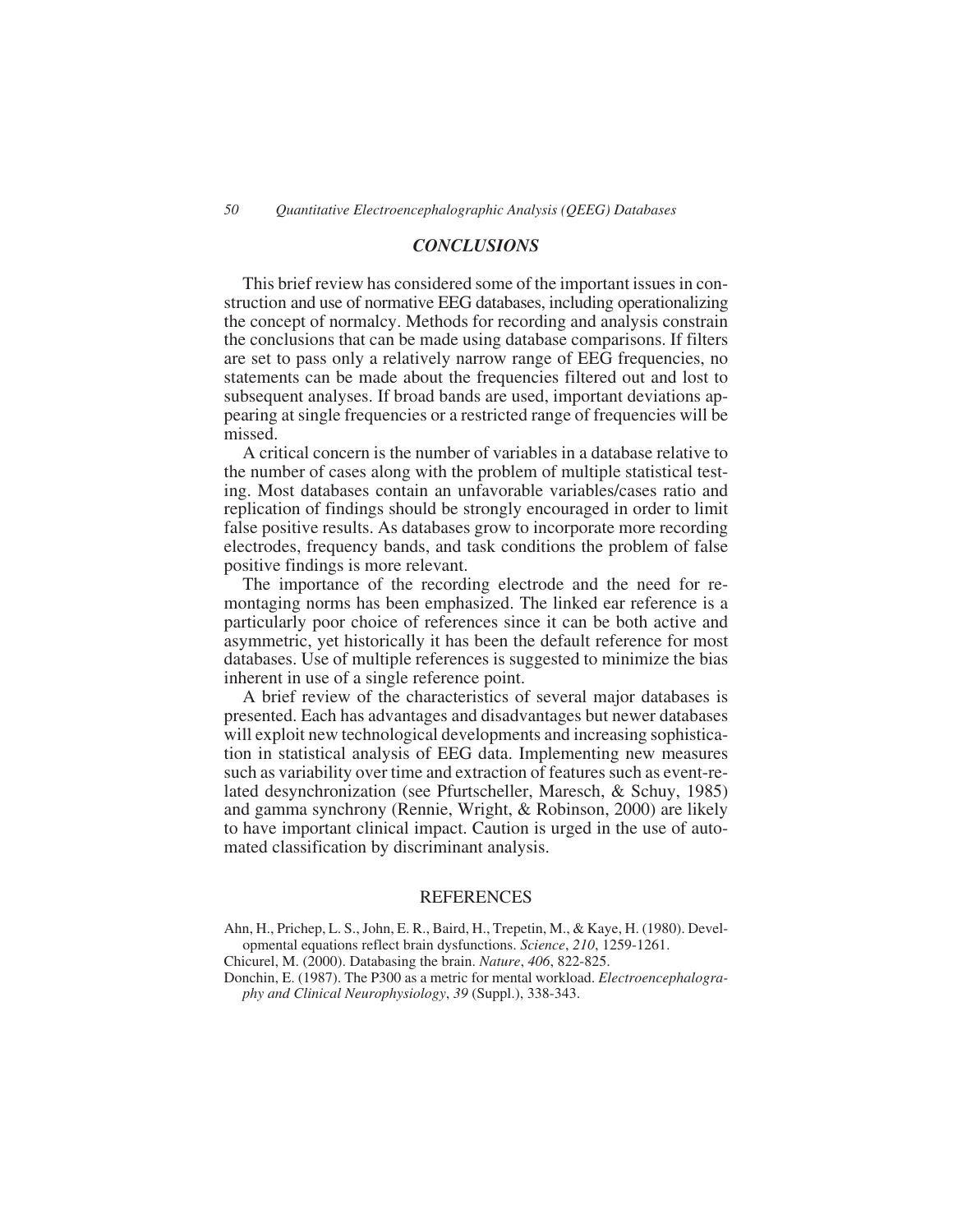# *CONCLUSIONS*

This brief review has considered some of the important issues in construction and use of normative EEG databases, including operationalizing the concept of normalcy. Methods for recording and analysis constrain the conclusions that can be made using database comparisons. If filters are set to pass only a relatively narrow range of EEG frequencies, no statements can be made about the frequencies filtered out and lost to subsequent analyses. If broad bands are used, important deviations appearing at single frequencies or a restricted range of frequencies will be missed.

A critical concern is the number of variables in a database relative to the number of cases along with the problem of multiple statistical testing. Most databases contain an unfavorable variables/cases ratio and replication of findings should be strongly encouraged in order to limit false positive results. As databases grow to incorporate more recording electrodes, frequency bands, and task conditions the problem of false positive findings is more relevant.

The importance of the recording electrode and the need for remontaging norms has been emphasized. The linked ear reference is a particularly poor choice of references since it can be both active and asymmetric, yet historically it has been the default reference for most databases. Use of multiple references is suggested to minimize the bias inherent in use of a single reference point.

A brief review of the characteristics of several major databases is presented. Each has advantages and disadvantages but newer databases will exploit new technological developments and increasing sophistication in statistical analysis of EEG data. Implementing new measures such as variability over time and extraction of features such as event-related desynchronization (see Pfurtscheller, Maresch, & Schuy, 1985) and gamma synchrony (Rennie, Wright, & Robinson, 2000) are likely to have important clinical impact. Caution is urged in the use of automated classification by discriminant analysis.

#### **REFERENCES**

Ahn, H., Prichep, L. S., John, E. R., Baird, H., Trepetin, M., & Kaye, H. (1980). Developmental equations reflect brain dysfunctions. *Science*, *210*, 1259-1261.

Chicurel, M. (2000). Databasing the brain. *Nature*, *406*, 822-825.

Donchin, E. (1987). The P300 as a metric for mental workload. *Electroencephalography and Clinical Neurophysiology*, *39* (Suppl.), 338-343.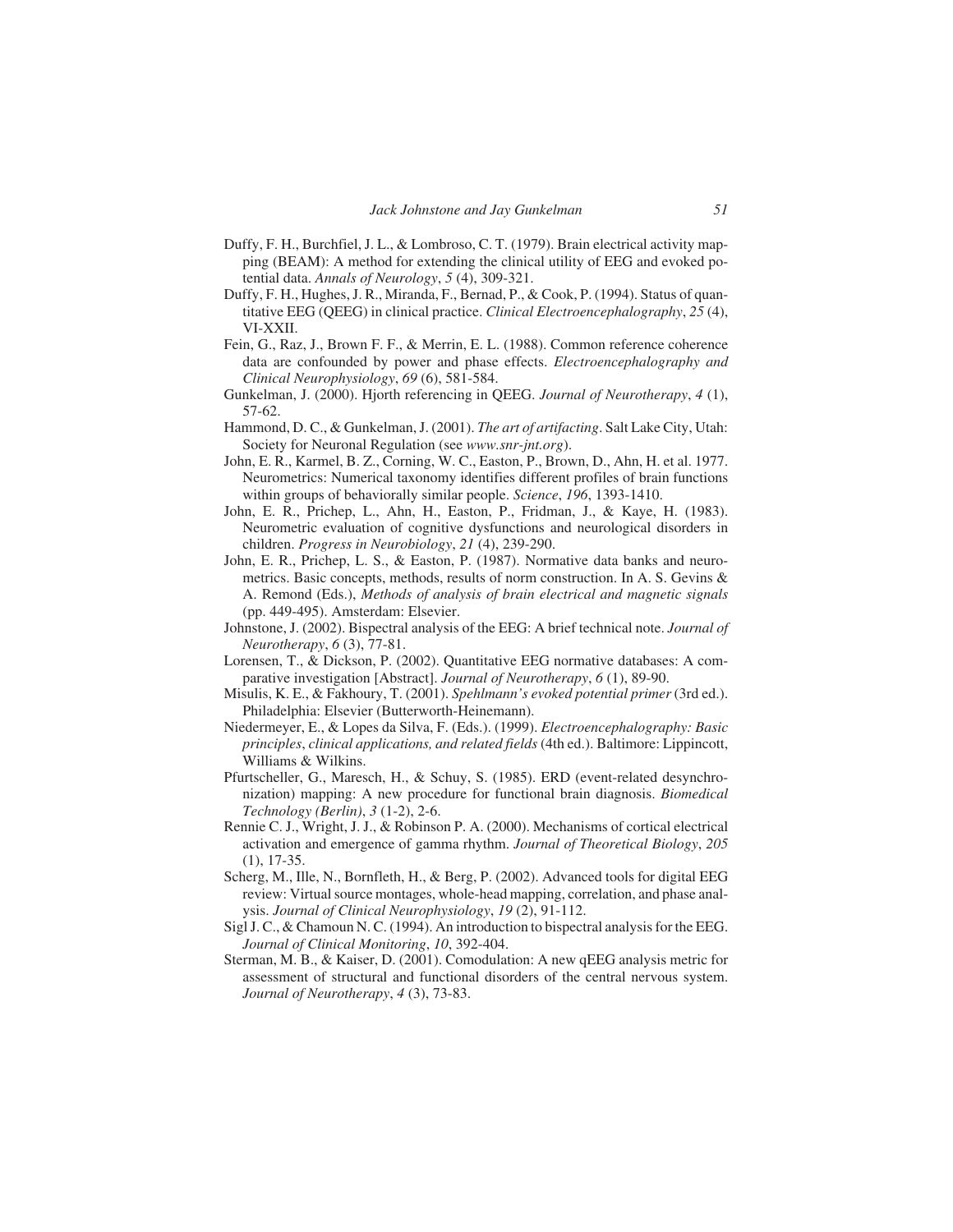- Duffy, F. H., Burchfiel, J. L., & Lombroso, C. T. (1979). Brain electrical activity mapping (BEAM): A method for extending the clinical utility of EEG and evoked potential data. *Annals of Neurology*, *5* (4), 309-321.
- Duffy, F. H., Hughes, J. R., Miranda, F., Bernad, P., & Cook, P. (1994). Status of quantitative EEG (QEEG) in clinical practice. *Clinical Electroencephalography*, *25* (4), VI-XXII.
- Fein, G., Raz, J., Brown F. F., & Merrin, E. L. (1988). Common reference coherence data are confounded by power and phase effects. *Electroencephalography and Clinical Neurophysiology*, *69* (6), 581-584.
- Gunkelman, J. (2000). Hjorth referencing in QEEG. *Journal of Neurotherapy*, *4* (1), 57-62.
- Hammond, D. C., & Gunkelman, J. (2001). *The art of artifacting*. Salt Lake City, Utah: Society for Neuronal Regulation (see *www.snr-jnt.org*).
- John, E. R., Karmel, B. Z., Corning, W. C., Easton, P., Brown, D., Ahn, H. et al. 1977. Neurometrics: Numerical taxonomy identifies different profiles of brain functions within groups of behaviorally similar people. *Science*, *196*, 1393-1410.
- John, E. R., Prichep, L., Ahn, H., Easton, P., Fridman, J., & Kaye, H. (1983). Neurometric evaluation of cognitive dysfunctions and neurological disorders in children. *Progress in Neurobiology*, *21* (4), 239-290.
- John, E. R., Prichep, L. S., & Easton, P. (1987). Normative data banks and neurometrics. Basic concepts, methods, results of norm construction. In A. S. Gevins & A. Remond (Eds.), *Methods of analysis of brain electrical and magnetic signals* (pp. 449-495). Amsterdam: Elsevier.
- Johnstone, J. (2002). Bispectral analysis of the EEG: A brief technical note. *Journal of Neurotherapy*, *6* (3), 77-81.
- Lorensen, T., & Dickson, P. (2002). Quantitative EEG normative databases: A comparative investigation [Abstract]. *Journal of Neurotherapy*, *6* (1), 89-90.
- Misulis, K. E., & Fakhoury, T. (2001). *Spehlmann's evoked potential primer* (3rd ed.). Philadelphia: Elsevier (Butterworth-Heinemann).
- Niedermeyer, E., & Lopes da Silva, F. (Eds.). (1999). *Electroencephalography: Basic principles*, *clinical applications, and related fields* (4th ed.). Baltimore: Lippincott, Williams & Wilkins.
- Pfurtscheller, G., Maresch, H., & Schuy, S. (1985). ERD (event-related desynchronization) mapping: A new procedure for functional brain diagnosis. *Biomedical Technology (Berlin)*, *3* (1-2), 2-6.
- Rennie C. J., Wright, J. J., & Robinson P. A. (2000). Mechanisms of cortical electrical activation and emergence of gamma rhythm. *Journal of Theoretical Biology*, *205* (1), 17-35.
- Scherg, M., Ille, N., Bornfleth, H., & Berg, P. (2002). Advanced tools for digital EEG review: Virtual source montages, whole-head mapping, correlation, and phase analysis. *Journal of Clinical Neurophysiology*, *19* (2), 91-112.
- Sigl J. C., & Chamoun N. C. (1994). An introduction to bispectral analysis for the EEG. *Journal of Clinical Monitoring*, *10*, 392-404.
- Sterman, M. B., & Kaiser, D. (2001). Comodulation: A new qEEG analysis metric for assessment of structural and functional disorders of the central nervous system. *Journal of Neurotherapy*, *4* (3), 73-83.